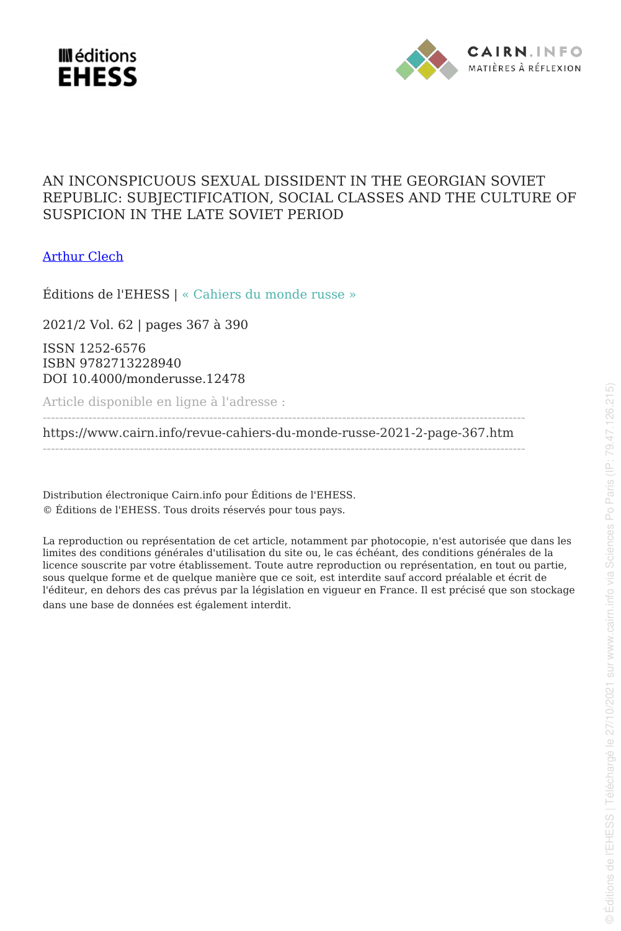



# AN INCONSPICUOUS SEXUAL DISSIDENT IN THE GEORGIAN SOVIET REPUBLIC: SUBJECTIFICATION, SOCIAL CLASSES AND THE CULTURE OF SUSPICION IN THE LATE SOVIET PERIOD

[Arthur Clech](www.cairn.info/publications-de-Arthur-Clech--675997.htm?WT.tsrc=pdf)

Éditions de l'EHESS | « Cahiers du monde russe »

2021/2 Vol. 62 | pages 367 à 390

ISSN 1252-6576 ISBN 9782713228940 DOI 10.4000/monderusse.12478

Article disponible en ligne à l'adresse :

------------------------------------------------------------------------------------------------------------------- <https://www.cairn.info/revue-cahiers-du-monde-russe-2021-2-page-367.htm> --------------------------------------------------------------------------------------------------------------------

Distribution électronique Cairn.info pour Éditions de l'EHESS. © Éditions de l'EHESS. Tous droits réservés pour tous pays.

La reproduction ou représentation de cet article, notamment par photocopie, n'est autorisée que dans les limites des conditions générales d'utilisation du site ou, le cas échéant, des conditions générales de la licence souscrite par votre établissement. Toute autre reproduction ou représentation, en tout ou partie, sous quelque forme et de quelque manière que ce soit, est interdite sauf accord préalable et écrit de l'éditeur, en dehors des cas prévus par la législation en vigueur en France. Il est précisé que son stockage dans une base de données est également interdit.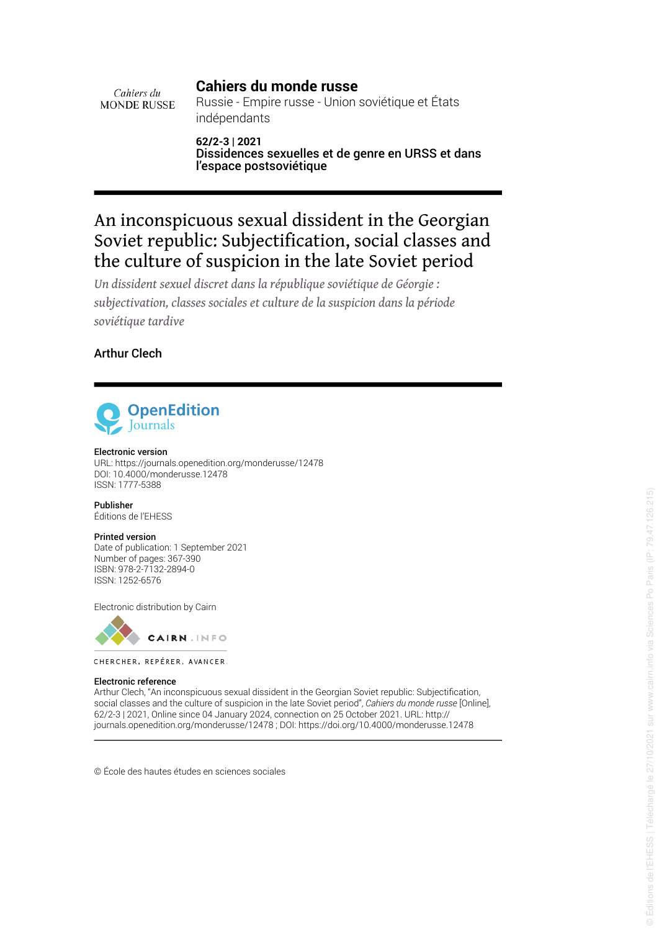# **Cahiers du monde russe**

Cahiers du **MONDE RUSSE** 

Russie - Empire russe - Union soviétique et États indépendants

**62/2-3 | 2021** Dissidences sexuelles et de genre en URSS et dans l'espace postsoviétique

# An inconspicuous sexual dissident in the Georgian Soviet republic: Subjectification, social classes and the culture of suspicion in the late Soviet period

*Un dissident sexuel discret dans la république soviétique de Géorgie : subjectivation, classes sociales et culture de la suspicion dans la période soviétique tardive*

Arthur Clech



#### Electronic version

URL: https://journals.openedition.org/monderusse/12478 DOI: 10.4000/monderusse.12478 ISSN: 1777-5388

Publisher Éditions de l'EHESS

### Printed version

Date of publication: 1 September 2021 Number of pages: 367-390 ISBN: 978-2-7132-2894-0 ISSN: 1252-6576

Electronic distribution by Cairn



CHERCHER, REPÉRER, AVANCER.

#### Electronic reference

Arthur Clech, "An inconspicuous sexual dissident in the Georgian Soviet republic: Subjecti fication, social classes and the culture of suspicion in the late Soviet period", *Cahiers du monde russe* [Online], 62/2-3 | 2021, Online since 04 January 2024, connection on 25 October 2021. URL: http:// journals.openedition.org/monderusse/12478 ; DOI: https://doi.org/10.4000/monderusse.12478

© École des hautes études en sciences sociales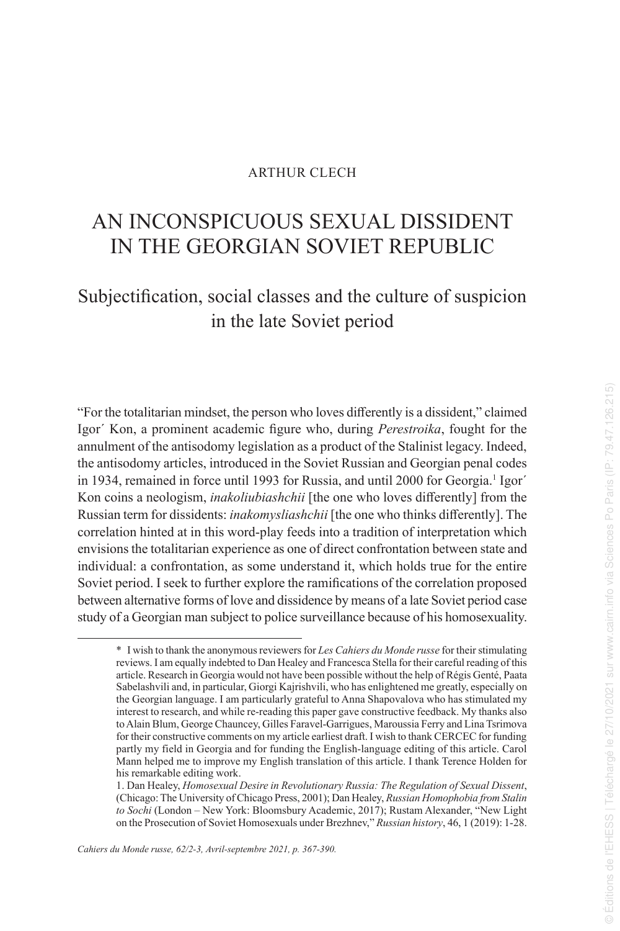#### ARTHUR CLECH

# AN INCONSPICUOUS SEXUAL DISSIDENT IN THE GEORGIAN SOVIET REPUBLIC

# Subjectification, social classes and the culture of suspicion in the late Soviet period

"For the totalitarian mindset, the person who loves differently is a dissident," claimed Igor´ Kon, a prominent academic figure who, during *Perestroika*, fought for the annulment of the antisodomy legislation as a product of the Stalinist legacy. Indeed, the antisodomy articles, introduced in the Soviet Russian and Georgian penal codes in 1934, remained in force until 1993 for Russia, and until 2000 for Georgia.<sup>1</sup> Igor' Kon coins a neologism, *inakoliubiashchii* [the one who loves differently] from the Russian term for dissidents: *inakomysliashchii* [the one who thinks differently]. The correlation hinted at in this word-play feeds into a tradition of interpretation which envisions the totalitarian experience as one of direct confrontation between state and individual: a confrontation, as some understand it, which holds true for the entire Soviet period. I seek to further explore the ramifications of the correlation proposed between alternative forms of love and dissidence by means of a late Soviet period case study of a Georgian man subject to police surveillance because of his homosexuality.

<sup>\*</sup> I wish to thank the anonymous reviewers for *Les Cahiers du Monde russe* for their stimulating reviews. I am equally indebted to Dan Healey and Francesca Stella for their careful reading of this article. Research in Georgia would not have been possible without the help of Régis Genté, Paata Sabelashvili and, in particular, Giorgi Kajrishvili, who has enlightened me greatly, especially on the Georgian language. I am particularly grateful to Anna Shapovalova who has stimulated my interest to research, and while re-reading this paper gave constructive feedback. My thanks also to Alain Blum, George Chauncey, Gilles Faravel-Garrigues, Maroussia Ferry and Lina Tsrimova for their constructive comments on my article earliest draft. I wish to thank CERCEC for funding partly my field in Georgia and for funding the English-language editing of this article. Carol Mann helped me to improve my English translation of this article. I thank Terence Holden for his remarkable editing work.

<sup>1.</sup> Dan Healey, *Homosexual Desire in Revolutionary Russia: The Regulation of Sexual Dissent*, (Chicago: The University of Chicago Press, 2001); Dan Healey, *Russian Homophobia from Stalin to Sochi* (London – New York: Bloomsbury Academic, 2017); Rustam Alexander, "New Light on the Prosecution of Soviet Homosexuals under Brezhnev," *Russian history*, 46, 1 (2019): 1-28.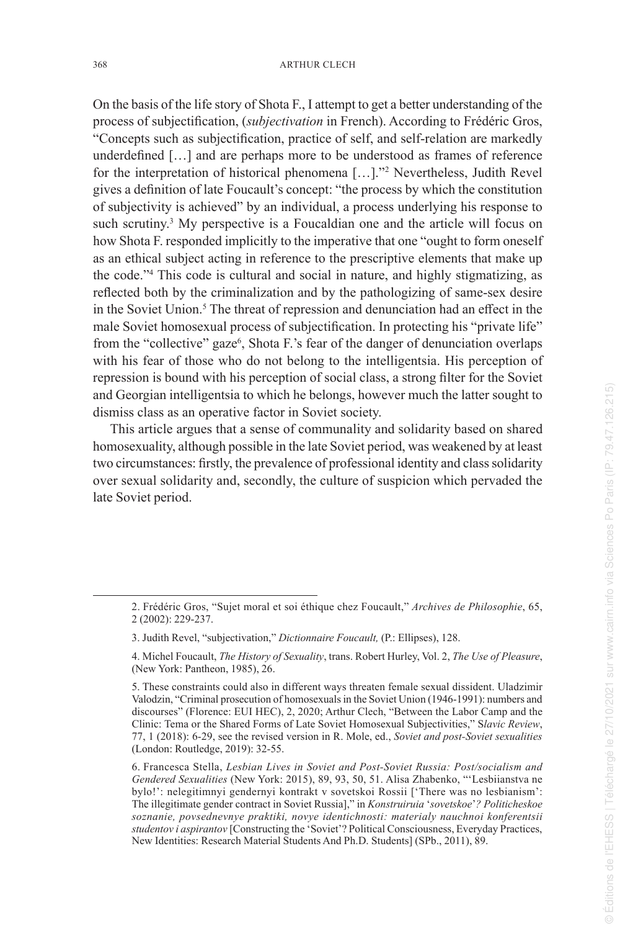On the basis of the life story of Shota F., I attempt to get a better understanding of the process of subjectification, (*subjectivation* in French). According to Frédéric Gros, "Concepts such as subjectification, practice of self, and self-relation are markedly underdefined […] and are perhaps more to be understood as frames of reference for the interpretation of historical phenomena […]." 2 Nevertheless, Judith Revel gives a definition of late Foucault's concept: "the process by which the constitution of subjectivity is achieved" by an individual, a process underlying his response to such scrutiny. 3 My perspective is a Foucaldian one and the article will focus on how Shota F. responded implicitly to the imperative that one "ought to form oneself as an ethical subject acting in reference to the prescriptive elements that make up the code." 4 This code is cultural and social in nature, and highly stigmatizing, as reflected both by the criminalization and by the pathologizing of same-sex desire in the Soviet Union. 5 The threat of repression and denunciation had an effect in the male Soviet homosexual process of subjectification. In protecting his "private life" from the "collective" gaze<sup>6</sup>, Shota F.'s fear of the danger of denunciation overlaps with his fear of those who do not belong to the intelligentsia. His perception of repression is bound with his perception of social class, a strong filter for the Soviet and Georgian intelligentsia to which he belongs, however much the latter sought to dismiss class as an operative factor in Soviet society.

This article argues that a sense of communality and solidarity based on shared homosexuality, although possible in the late Soviet period, was weakened by at least two circumstances: firstly, the prevalence of professional identity and class solidarity over sexual solidarity and, secondly, the culture of suspicion which pervaded the late Soviet period.

<sup>2.</sup> Frédéric Gros, "Sujet moral et soi éthique chez Foucault," *Archives de Philosophie*, 65, 2 (2002): 229-237.

<sup>3.</sup> Judith Revel, "subjectivation," *Dictionnaire Foucault,* (P.: Ellipses), 128.

<sup>4.</sup> Michel Foucault, *The History of Sexuality*, trans. Robert Hurley, Vol. 2, *The Use of Pleasure*, (New York: Pantheon, 1985), 26.

<sup>5.</sup> These constraints could also in different ways threaten female sexual dissident. Uladzimir Valodzin, "Criminal prosecution of homosexuals in the Soviet Union (1946-1991): numbers and discourses" (Florence: EUI HEC), 2, 2020; Arthur Clech, "Between the Labor Camp and the Clinic: Tema or the Shared Forms of Late Soviet Homosexual Subjectivities," S*lavic Review*, 77, 1 (2018): 6-29, see the revised version in R. Mole, ed., *Soviet and post-Soviet sexualities* (London: Routledge, 2019): 32-55.

<sup>6.</sup> Francesca Stella, *Lesbian Lives in Soviet and Post-Soviet Russia: Post/socialism and Gendered Sexualities* (New York: 2015), 89, 93, 50, 51. Alisa Zhabenko, "'Lesbiianstva ne bylo!': nelegitimnyi gendernyi kontrakt v sovetskoi Rossii ['There was no lesbianism': The illegitimate gender contract in Soviet Russia]," in *Konstruiruia*  '*sovetskoe* '*? Politicheskoe soznanie, povsednevnye praktiki, novye identichnosti: materialy nauchnoi konferentsii studentov i aspirantov* [Constructing the 'Soviet'? Political Consciousness, Everyday Practices, New Identities: Research Material Students And Ph.D. Students] (SPb., 2011), 89.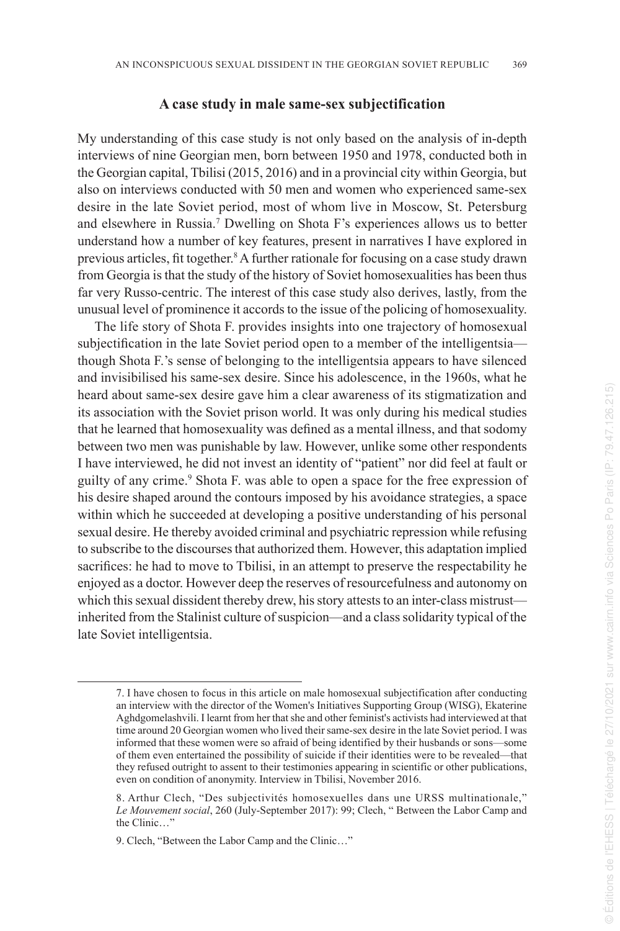#### **A case study in male same-sex subjectification**

My understanding of this case study is not only based on the analysis of in-depth interviews of nine Georgian men, born between 1950 and 1978, conducted both in the Georgian capital, Tbilisi (2015, 2016) and in a provincial city within Georgia, but also on interviews conducted with 50 men and women who experienced same-sex desire in the late Soviet period, most of whom live in Moscow, St. Petersburg and elsewhere in Russia. 7 Dwelling on Shota F's experiences allows us to better understand how a number of key features, present in narratives I have explored in previous articles, fit together.<sup>8</sup> A further rationale for focusing on a case study drawn from Georgia is that the study of the history of Soviet homosexualities has been thus far very Russo-centric. The interest of this case study also derives, lastly, from the unusual level of prominence it accords to the issue of the policing of homosexuality.

The life story of Shota F. provides insights into one trajectory of homosexual subjectification in the late Soviet period open to a member of the intelligentsia though Shota F.'s sense of belonging to the intelligentsia appears to have silenced and invisibilised his same-sex desire. Since his adolescence, in the 1960s, what he heard about same-sex desire gave him a clear awareness of its stigmatization and its association with the Soviet prison world. It was only during his medical studies that he learned that homosexuality was defined as a mental illness, and that sodomy between two men was punishable by law. However, unlike some other respondents I have interviewed, he did not invest an identity of "patient" nor did feel at fault or guilty of any crime. 9 Shota F. was able to open a space for the free expression of his desire shaped around the contours imposed by his avoidance strategies, a space within which he succeeded at developing a positive understanding of his personal sexual desire. He thereby avoided criminal and psychiatric repression while refusing to subscribe to the discourses that authorized them. However, this adaptation implied sacrifices: he had to move to Tbilisi, in an attempt to preserve the respectability he enjoyed as a doctor. However deep the reserves of resourcefulness and autonomy on which this sexual dissident thereby drew, his story attests to an inter-class mistrust inherited from the Stalinist culture of suspicion—and a class solidarity typical of the late Soviet intelligentsia.

<sup>7.</sup> I have chosen to focus in this article on male homosexual subjectification after conducting an interview with the director of the Women's Initiatives Supporting Group (WISG), Ekaterine Aghdgomelashvili. I learnt from her that she and other feminist's activists had interviewed at that time around 20 Georgian women who lived their same-sex desire in the late Soviet period. I was informed that these women were so afraid of being identified by their husbands or sons—some of them even entertained the possibility of suicide if their identities were to be revealed—that they refused outright to assent to their testimonies appearing in scientific or other publications, even on condition of anonymity. Interview in Tbilisi, November 2016.

<sup>8.</sup> Arthur Clech, "Des subjectivités homosexuelles dans une URSS multinationale," *Le Mouvement social*, 260 (July-September 2017): 99; Clech, " Between the Labor Camp and the Clinic…"

<sup>9.</sup> Clech, "Between the Labor Camp and the Clinic…"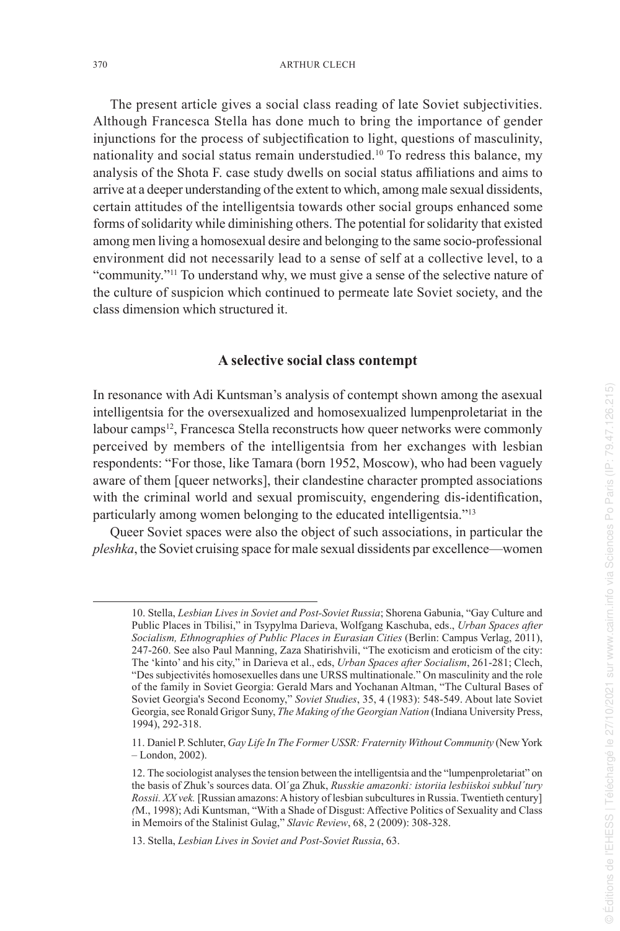The present article gives a social class reading of late Soviet subjectivities. Although Francesca Stella has done much to bring the importance of gender injunctions for the process of subjectification to light, questions of masculinity, nationality and social status remain understudied.<sup>10</sup> To redress this balance, my analysis of the Shota F. case study dwells on social status affiliations and aims to arrive at a deeper understanding of the extent to which, among male sexual dissidents, certain attitudes of the intelligentsia towards other social groups enhanced some forms of solidarity while diminishing others. The potential for solidarity that existed among men living a homosexual desire and belonging to the same socio-professional environment did not necessarily lead to a sense of self at a collective level, to a "community."<sup>11</sup> To understand why, we must give a sense of the selective nature of the culture of suspicion which continued to permeate late Soviet society, and the class dimension which structured it.

#### **A selective social class contempt**

In resonance with Adi Kuntsman's analysis of contempt shown among the asexual intelligentsia for the oversexualized and homosexualized lumpenproletariat in the labour camps<sup>12</sup>, Francesca Stella reconstructs how queer networks were commonly perceived by members of the intelligentsia from her exchanges with lesbian respondents: "For those, like Tamara (born 1952, Moscow), who had been vaguely aware of them [queer networks], their clandestine character prompted associations with the criminal world and sexual promiscuity, engendering dis-identification, particularly among women belonging to the educated intelligentsia."<sup>13</sup>

Queer Soviet spaces were also the object of such associations, in particular the *pleshka*, the Soviet cruising space for male sexual dissidents par excellence—women

<sup>10.</sup> Stella, *Lesbian Lives in Soviet and Post-Soviet Russia*; Shorena Gabunia, "Gay Culture and Public Places in Tbilisi," in Tsypylma Darieva, Wolfgang Kaschuba, eds., *Urban Spaces after Socialism, Ethnographies of Public Places in Eurasian Cities* (Berlin: Campus Verlag, 2011), 247-260. See also Paul Manning, Zaza Shatirishvili, "The exoticism and eroticism of the city: The 'kinto' and his city," in Darieva et al., eds, *Urban Spaces after Socialism*, 261-281; Clech, "Des subjectivités homosexuelles dans une URSS multinationale." On masculinity and the role of the family in Soviet Georgia: Gerald Mars and Yochanan Altman, "The Cultural Bases of Soviet Georgia's Second Economy," *Soviet Studies* , 35, 4 (1983): 548-549. About late Soviet Georgia, see Ronald Grigor Suny, *The Making of the Georgian Nation* (Indiana University Press, 1994), 292-318.

<sup>11.</sup> Daniel P. Schluter, *Gay Life In The Former USSR: Fraternity Without Community* (New York – London, 2002).

<sup>12.</sup> The sociologist analyses the tension between the intelligentsia and the "lumpenproletariat" on the basis of Zhuk's sources data. Ol´ga Zhuk, *Russkie amazonki: istoriia lesbiiskoi subkul´tury Rossii. XX vek.* [Russian amazons: A history of lesbian subcultures in Russia. Twentieth century] *(*M., 1998); Adi Kuntsman, "With a Shade of Disgust: Affective Politics of Sexuality and Class in Memoirs of the Stalinist Gulag," *Slavic Review*, 68, 2 (2009): 308-328.

<sup>13.</sup> Stella, *Lesbian Lives in Soviet and Post-Soviet Russia*, 63.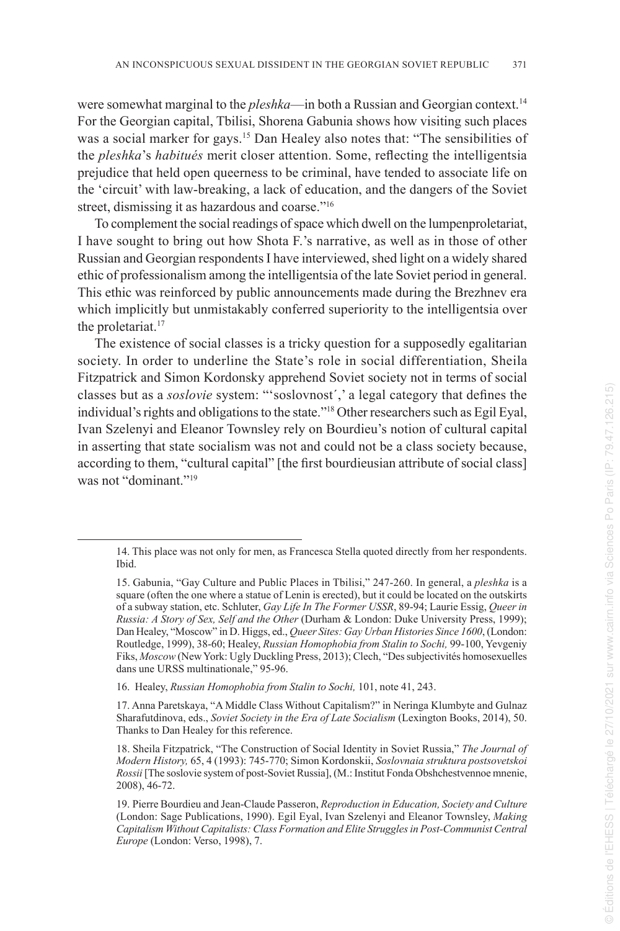were somewhat marginal to the *pleshka*—in both a Russian and Georgian context.<sup>14</sup> For the Georgian capital, Tbilisi, Shorena Gabunia shows how visiting such places was a social marker for gays.<sup>15</sup> Dan Healey also notes that: "The sensibilities of the *pleshka*'s *habitués* merit closer attention. Some, reflecting the intelligentsia prejudice that held open queerness to be criminal, have tended to associate life on the 'circuit' with law-breaking, a lack of education, and the dangers of the Soviet street, dismissing it as hazardous and coarse."<sup>16</sup>

To complement the social readings of space which dwell on the lumpenproletariat, I have sought to bring out how Shota F.'s narrative, as well as in those of other Russian and Georgian respondents I have interviewed, shed light on a widely shared ethic of professionalism among the intelligentsia of the late Soviet period in general. This ethic was reinforced by public announcements made during the Brezhnev era which implicitly but unmistakably conferred superiority to the intelligentsia over the proletariat.<sup>17</sup>

The existence of social classes is a tricky question for a supposedly egalitarian society. In order to underline the State's role in social differentiation, Sheila Fitzpatrick and Simon Kordonsky apprehend Soviet society not in terms of social classes but as a *soslovie* system: "'soslovnost´,' a legal category that defines the individual's rights and obligations to the state."<sup>18</sup> Other researchers such as Egil Eyal, Ivan Szelenyi and Eleanor Townsley rely on Bourdieu's notion of cultural capital in asserting that state socialism was not and could not be a class society because, according to them, "cultural capital" [the first bourdieusian attribute of social class] was not "dominant."<sup>19</sup>

16. Healey, *Russian Homophobia from Stalin to Sochi,* 101, note 41, 243.

17. Anna Paretskaya, "A Middle Class Without Capitalism?" in Neringa Klumbyte and Gulnaz Sharafutdinova, eds., *Soviet Society in the Era of Late Socialism* (Lexington Books, 2014), 50. Thanks to Dan Healey for this reference.

<sup>14.</sup> This place was not only for men, as Francesca Stella quoted directly from her respondents. Ibid.

<sup>15.</sup> Gabunia, "Gay Culture and Public Places in Tbilisi," 247-260. In general, a *pleshka* is a square (often the one where a statue of Lenin is erected), but it could be located on the outskirts of a subway station, etc. Schluter, *Gay Life In The Former USSR*, 89-94; Laurie Essig, *Queer in Russia: A Story of Sex, Self and the Other* (Durham & London: Duke University Press, 1999); Dan Healey, "Moscow" in D. Higgs, ed., *Queer Sites: Gay Urban Histories Since 1600*, (London: Routledge, 1999), 38-60; Healey, *Russian Homophobia from Stalin to Sochi,* 99-100, Yevgeniy Fiks, *Moscow* (New York: Ugly Duckling Press, 2013); Clech, "Des subjectivités homosexuelles dans une URSS multinationale," 95-96.

<sup>18.</sup> Sheila Fitzpatrick, "The Construction of Social Identity in Soviet Russia," *The Journal of Modern History,* 65, 4 (1993): 745-770; Simon Kordonskii, *Soslovnaia struktura postsovetskoi Rossii* [The soslovie system of post-Soviet Russia], (M.: Institut Fonda Obshchestvennoe mnenie, 2008), 46-72.

<sup>19.</sup> Pierre Bourdieu and Jean-Claude Passeron, *Reproduction in Education, Society and Culture*  (London: Sage Publications, 1990). Egil Eyal, Ivan Szelenyi and Eleanor Townsley, *Making Capitalism Without Capitalists: Class Formation and Elite Struggles in Post-Communist Central Europe* (London: Verso, 1998), 7.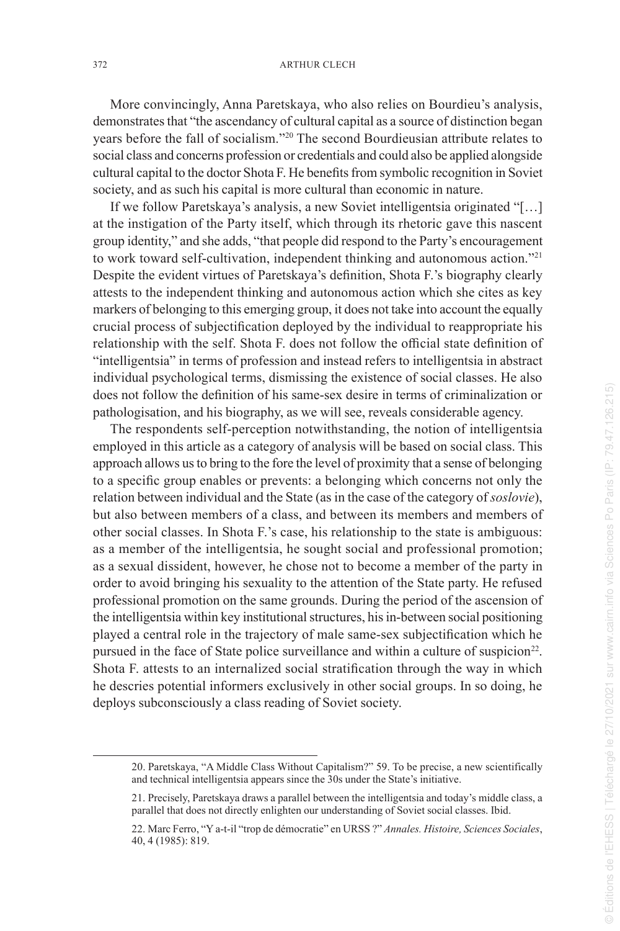More convincingly, Anna Paretskaya, who also relies on Bourdieu's analysis, demonstrates that "the ascendancy of cultural capital as a source of distinction began years before the fall of socialism."<sup>20</sup> The second Bourdieusian attribute relates to social class and concerns profession or credentials and could also be applied alongside cultural capital to the doctor Shota F. He benefits from symbolic recognition in Soviet society, and as such his capital is more cultural than economic in nature.

If we follow Paretskaya's analysis, a new Soviet intelligentsia originated "[…] at the instigation of the Party itself, which through its rhetoric gave this nascent group identity," and she adds, "that people did respond to the Party's encouragement to work toward self-cultivation, independent thinking and autonomous action."<sup>21</sup> Despite the evident virtues of Paretskaya's definition, Shota F.'s biography clearly attests to the independent thinking and autonomous action which she cites as key markers of belonging to this emerging group, it does not take into account the equally crucial process of subjectification deployed by the individual to reappropriate his relationship with the self. Shota F. does not follow the official state definition of "intelligentsia" in terms of profession and instead refers to intelligentsia in abstract individual psychological terms, dismissing the existence of social classes. He also does not follow the definition of his same-sex desire in terms of criminalization or pathologisation, and his biography, as we will see, reveals considerable agency.

The respondents self-perception notwithstanding, the notion of intelligentsia employed in this article as a category of analysis will be based on social class. This approach allows us to bring to the fore the level of proximity that a sense of belonging to a specific group enables or prevents: a belonging which concerns not only the relation between individual and the State (as in the case of the category of *soslovie*), but also between members of a class, and between its members and members of other social classes. In Shota F.'s case, his relationship to the state is ambiguous: as a member of the intelligentsia, he sought social and professional promotion; as a sexual dissident, however, he chose not to become a member of the party in order to avoid bringing his sexuality to the attention of the State party. He refused professional promotion on the same grounds. During the period of the ascension of the intelligentsia within key institutional structures, his in-between social positioning played a central role in the trajectory of male same-sex subjectification which he pursued in the face of State police surveillance and within a culture of suspicion<sup>22</sup>. Shota F. attests to an internalized social stratification through the way in which he descries potential informers exclusively in other social groups. In so doing, he deploys subconsciously a class reading of Soviet society.

<sup>20.</sup> Paretskaya, "A Middle Class Without Capitalism?" 59. To be precise, a new scientifically and technical intelligentsia appears since the 30s under the State's initiative.

<sup>21.</sup> Precisely, Paretskaya draws a parallel between the intelligentsia and today's middle class, a parallel that does not directly enlighten our understanding of Soviet social classes. Ibid.

<sup>22.</sup> Marc Ferro, "Y a-t-il "trop de démocratie" en URSS ?" *Annales. Histoire, Sciences Sociales*, 40, 4 (1985): 819.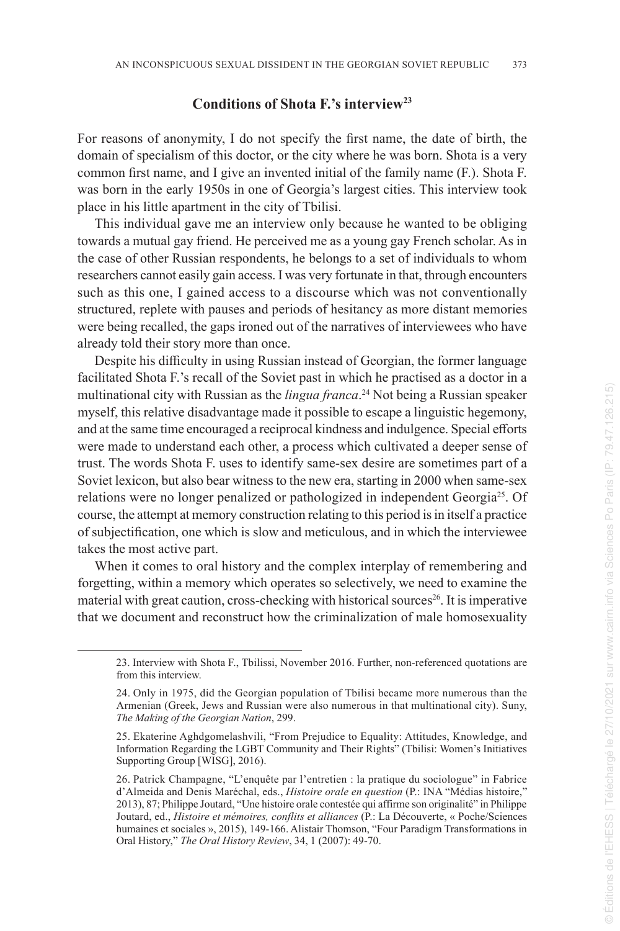#### **Conditions of Shota F.'s interview<sup>23</sup>**

For reasons of anonymity, I do not specify the first name, the date of birth, the domain of specialism of this doctor, or the city where he was born. Shota is a very common first name, and I give an invented initial of the family name (F.). Shota F. was born in the early 1950s in one of Georgia's largest cities. This interview took place in his little apartment in the city of Tbilisi.

This individual gave me an interview only because he wanted to be obliging towards a mutual gay friend. He perceived me as a young gay French scholar. As in the case of other Russian respondents, he belongs to a set of individuals to whom researchers cannot easily gain access. I was very fortunate in that, through encounters such as this one, I gained access to a discourse which was not conventionally structured, replete with pauses and periods of hesitancy as more distant memories were being recalled, the gaps ironed out of the narratives of interviewees who have already told their story more than once.

Despite his difficulty in using Russian instead of Georgian, the former language facilitated Shota F.'s recall of the Soviet past in which he practised as a doctor in a multinational city with Russian as the *lingua franca* . <sup>24</sup> Not being a Russian speaker myself, this relative disadvantage made it possible to escape a linguistic hegemony, and at the same time encouraged a reciprocal kindness and indulgence. Special efforts were made to understand each other, a process which cultivated a deeper sense of trust. The words Shota F. uses to identify same-sex desire are sometimes part of a Soviet lexicon, but also bear witness to the new era, starting in 2000 when same-sex relations were no longer penalized or pathologized in independent Georgia<sup>25</sup>. Of course, the attempt at memory construction relating to this period is in itself a practice of subjectification, one which is slow and meticulous, and in which the interviewee takes the most active part.

When it comes to oral history and the complex interplay of remembering and forgetting, within a memory which operates so selectively, we need to examine the material with great caution, cross-checking with historical sources<sup>26</sup>. It is imperative that we document and reconstruct how the criminalization of male homosexuality

<sup>23.</sup> Interview with Shota F., Tbilissi, November 2016. Further, non-referenced quotations are from this interview.

<sup>24.</sup> Only in 1975, did the Georgian population of Tbilisi became more numerous than the Armenian (Greek, Jews and Russian were also numerous in that multinational city). Suny, *The Making of the Georgian Nation*, 299.

<sup>25.</sup> Ekaterine Aghdgomelashvili, "From Prejudice to Equality: Attitudes, Knowledge, and Information Regarding the LGBT Community and Their Rights" (Tbilisi: Women's Initiatives Supporting Group [WISG], 2016).

<sup>26.</sup> Patrick Champagne, "L'enquête par l'entretien : la pratique du sociologue" in Fabrice d'Almeida and Denis Maréchal, eds., *Histoire orale en question* (P.: INA "Médias histoire," 2013), 87; Philippe Joutard, "Une histoire orale contestée qui affirme son originalité" in Philippe Joutard, ed., *Histoire et mémoires, conflits et alliances* (P.: La Découverte, « Poche/Sciences humaines et sociales », 2015), 149-166. Alistair Thomson, "Four Paradigm Transformations in Oral History," *The Oral History Review*, 34, 1 (2007): 49-70.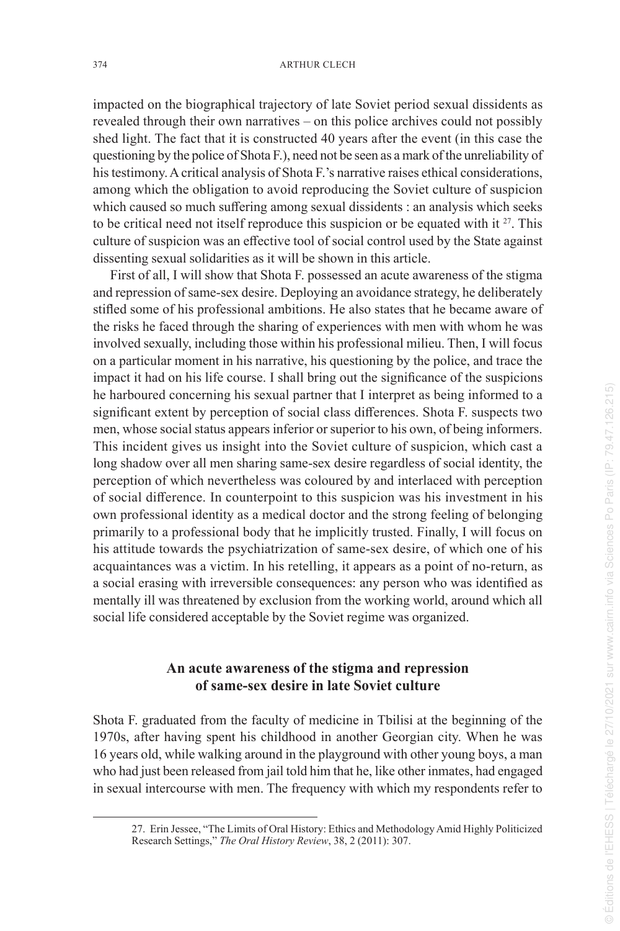impacted on the biographical trajectory of late Soviet period sexual dissidents as revealed through their own narratives – on this police archives could not possibly shed light. The fact that it is constructed 40 years after the event (in this case the questioning by the police of Shota F.), need not be seen as a mark of the unreliability of his testimony. A critical analysis of Shota F.'s narrative raises ethical considerations, among which the obligation to avoid reproducing the Soviet culture of suspicion which caused so much suffering among sexual dissidents : an analysis which seeks to be critical need not itself reproduce this suspicion or be equated with it  $27$ . This culture of suspicion was an effective tool of social control used by the State against dissenting sexual solidarities as it will be shown in this article.

First of all, I will show that Shota F. possessed an acute awareness of the stigma and repression of same-sex desire. Deploying an avoidance strategy, he deliberately stifled some of his professional ambitions. He also states that he became aware of the risks he faced through the sharing of experiences with men with whom he was involved sexually, including those within his professional milieu. Then, I will focus on a particular moment in his narrative, his questioning by the police, and trace the impact it had on his life course. I shall bring out the significance of the suspicions he harboured concerning his sexual partner that I interpret as being informed to a significant extent by perception of social class differences. Shota F. suspects two men, whose social status appears inferior or superior to his own, of being informers. This incident gives us insight into the Soviet culture of suspicion, which cast a long shadow over all men sharing same-sex desire regardless of social identity, the perception of which nevertheless was coloured by and interlaced with perception of social difference. In counterpoint to this suspicion was his investment in his own professional identity as a medical doctor and the strong feeling of belonging primarily to a professional body that he implicitly trusted. Finally, I will focus on his attitude towards the psychiatrization of same-sex desire, of which one of his acquaintances was a victim. In his retelling, it appears as a point of no-return, as a social erasing with irreversible consequences: any person who was identified as mentally ill was threatened by exclusion from the working world, around which all social life considered acceptable by the Soviet regime was organized.

## **An acute awareness of the stigma and repression of same-sex desire in late Soviet culture**

Shota F. graduated from the faculty of medicine in Tbilisi at the beginning of the 1970s, after having spent his childhood in another Georgian city. When he was 16 years old, while walking around in the playground with other young boys, a man who had just been released from jail told him that he, like other inmates, had engaged in sexual intercourse with men. The frequency with which my respondents refer to

<sup>27.</sup> Erin Jessee, "The Limits of Oral History: Ethics and Methodology Amid Highly Politicized Research Settings," *The Oral History Review*, 38, 2 (2011): 307.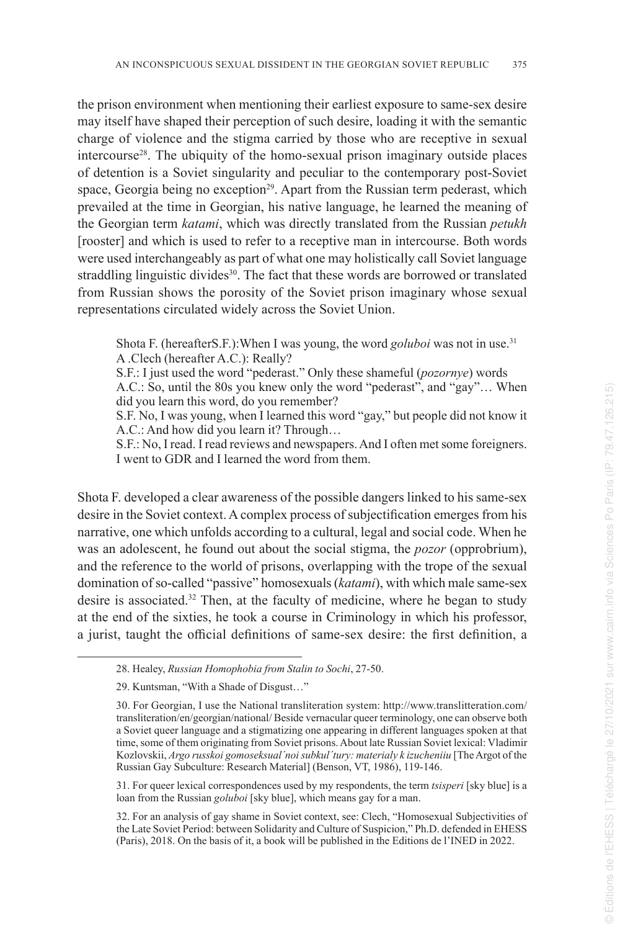the prison environment when mentioning their earliest exposure to same-sex desire may itself have shaped their perception of such desire, loading it with the semantic charge of violence and the stigma carried by those who are receptive in sexual intercourse<sup>28</sup>. The ubiquity of the homo-sexual prison imaginary outside places of detention is a Soviet singularity and peculiar to the contemporary post-Soviet space, Georgia being no exception<sup>29</sup>. Apart from the Russian term pederast, which prevailed at the time in Georgian, his native language, he learned the meaning of the Georgian term *katami*, which was directly translated from the Russian *petukh* [rooster] and which is used to refer to a receptive man in intercourse. Both words were used interchangeably as part of what one may holistically call Soviet language straddling linguistic divides<sup>30</sup>. The fact that these words are borrowed or translated from Russian shows the porosity of the Soviet prison imaginary whose sexual representations circulated widely across the Soviet Union.

Shota F. (hereafterS.F.): When I was young, the word *goluboi* was not in use.<sup>31</sup> A .Clech (hereafter A.C.): Really?

S.F.: I just used the word "pederast." Only these shameful (*pozornye*) words A.C.: So, until the 80s you knew only the word "pederast", and "gay"… When did you learn this word, do you remember?

S.F. No, I was young, when I learned this word "gay," but people did not know it A.C.: And how did you learn it? Through…

S.F.: No, I read. I read reviews and newspapers. And I often met some foreigners. I went to GDR and I learned the word from them.

Shota F. developed a clear awareness of the possible dangers linked to his same-sex desire in the Soviet context. A complex process of subjectification emerges from his narrative, one which unfolds according to a cultural, legal and social code. When he was an adolescent, he found out about the social stigma, the *pozor* (opprobrium), and the reference to the world of prisons, overlapping with the trope of the sexual domination of so-called "passive" homosexuals (*katami*), with which male same-sex desire is associated.<sup>32</sup> Then, at the faculty of medicine, where he began to study at the end of the sixties, he took a course in Criminology in which his professor, a jurist, taught the official definitions of same-sex desire: the first definition, a

<sup>28.</sup> Healey, *Russian Homophobia from Stalin to Sochi* , 27-50.

<sup>29.</sup> Kuntsman, "With a Shade of Disgust…"

<sup>30.</sup> For Georgian, I use the National transliteration system: http://www.translitteration.com/ transliteration/en/georgian/national/ Beside vernacular queer terminology, one can observe both a Soviet queer language and a stigmatizing one appearing in different languages spoken at that time, some of them originating from Soviet prisons. About late Russian Soviet lexical: Vladimir Kozlovskii, Argo russkoi gomoseksual'noi subkul'tury: materialy k izucheniiu [The Argot of the Russian Gay Subculture: Research Material] (Benson, VT, 1986), 119-146.

<sup>31.</sup> For queer lexical correspondences used by my respondents, the term *tsisperi* [sky blue] is a loan from the Russian *goluboi* [sky blue], which means gay for a man.

<sup>32.</sup> For an analysis of gay shame in Soviet context, see: Clech, "Homosexual Subjectivities of the Late Soviet Period: between Solidarity and Culture of Suspicion," Ph.D. defended in EHESS (Paris), 2018. On the basis of it, a book will be published in the Editions de l'INED in 2022.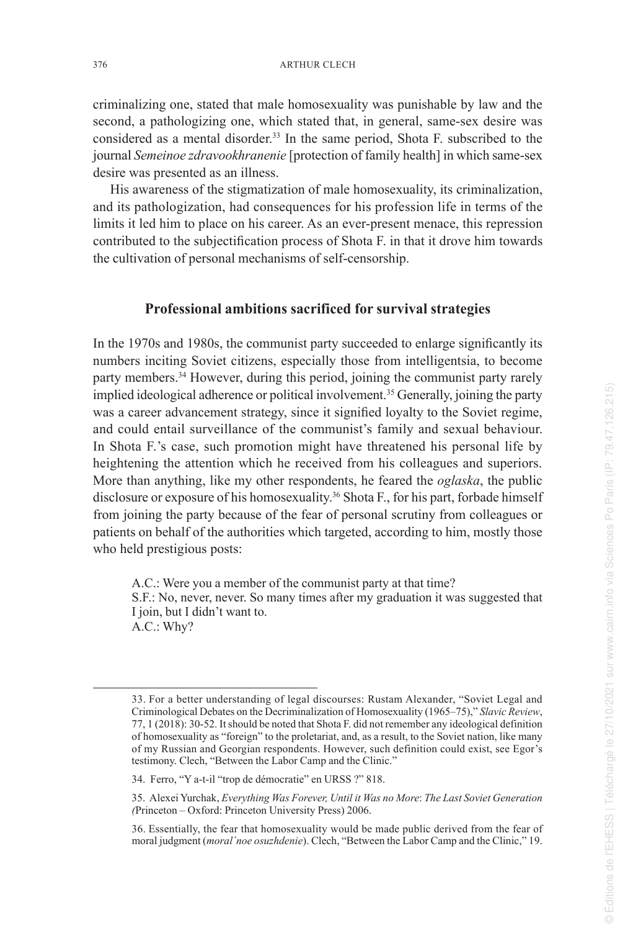criminalizing one, stated that male homosexuality was punishable by law and the second, a pathologizing one, which stated that, in general, same-sex desire was considered as a mental disorder.<sup>33</sup> In the same period, Shota F. subscribed to the journal *Semeinoe zdravookhranenie* [protection of family health] in which same-sex desire was presented as an illness.

His awareness of the stigmatization of male homosexuality, its criminalization, and its pathologization, had consequences for his profession life in terms of the limits it led him to place on his career. As an ever-present menace, this repression contributed to the subjectification process of Shota F. in that it drove him towards the cultivation of personal mechanisms of self-censorship.

#### **Professional ambitions sacrificed for survival strategies**

In the 1970s and 1980s, the communist party succeeded to enlarge significantly its numbers inciting Soviet citizens, especially those from intelligentsia, to become party members.<sup>34</sup> However, during this period, joining the communist party rarely implied ideological adherence or political involvement.<sup>35</sup> Generally, joining the party was a career advancement strategy, since it signified loyalty to the Soviet regime, and could entail surveillance of the communist's family and sexual behaviour. In Shota F.'s case, such promotion might have threatened his personal life by heightening the attention which he received from his colleagues and superiors. More than anything, like my other respondents, he feared the *oglaska*, the public disclosure or exposure of his homosexuality.<sup>36</sup> Shota F., for his part, forbade himself from joining the party because of the fear of personal scrutiny from colleagues or patients on behalf of the authorities which targeted, according to him, mostly those who held prestigious posts:

A.C.: Were you a member of the communist party at that time? S.F.: No, never, never. So many times after my graduation it was suggested that I join, but I didn't want to. A.C.: Why?

<sup>33.</sup> For a better understanding of legal discourses: Rustam Alexander, "Soviet Legal and Criminological Debates on the Decriminalization of Homosexuality (1965–75)," *Slavic Review*, 77, 1 (2018): 30-52. It should be noted that Shota F. did not remember any ideological definition of homosexuality as "foreign" to the proletariat, and, as a result, to the Soviet nation, like many of my Russian and Georgian respondents. However, such definition could exist, see Egor's testimony. Clech, "Between the Labor Camp and the Clinic."

<sup>34.</sup> Ferro, "Y a-t-il "trop de démocratie" en URSS ?" 818.

<sup>35.</sup> Alexei Yurchak, *Everything Was Forever, Until it Was no More*: *The Last Soviet Generation (*Princeton – Oxford: Princeton University Press) 2006.

<sup>36.</sup> Essentially, the fear that homosexuality would be made public derived from the fear of moral judgment (*moral΄noe osuzhdenie*). Clech, "Between the Labor Camp and the Clinic," 19.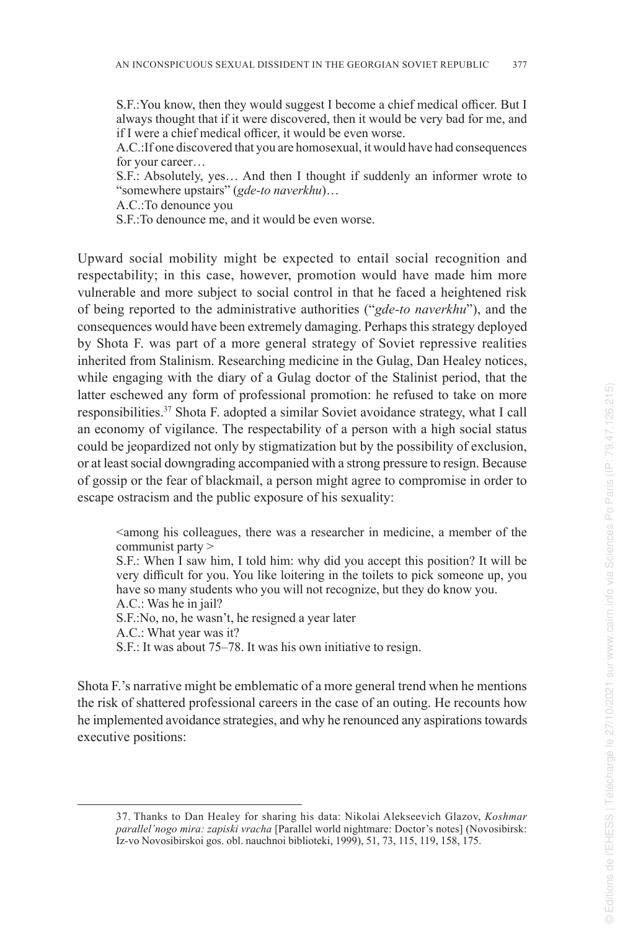S.F.:You know, then they would suggest I become a chief medical officer. But I always thought that if it were discovered, then it would be very bad for me, and if I were a chief medical officer, it would be even worse.

A.C.:If one discovered that you are homosexual, it would have had consequences for your career…

S.F.: Absolutely, yes… And then I thought if suddenly an informer wrote to "somewhere upstairs" (*gde-to naverkhu*)…

A.C.:To denounce you

S.F.:To denounce me, and it would be even worse.

Upward social mobility might be expected to entail social recognition and respectability; in this case, however, promotion would have made him more vulnerable and more subject to social control in that he faced a heightened risk of being reported to the administrative authorities ("*gde-to naverkhu*"), and the consequences would have been extremely damaging. Perhaps this strategy deployed by Shota F. was part of a more general strategy of Soviet repressive realities inherited from Stalinism. Researching medicine in the Gulag, Dan Healey notices, while engaging with the diary of a Gulag doctor of the Stalinist period, that the latter eschewed any form of professional promotion: he refused to take on more responsibilities.<sup>37</sup> Shota F. adopted a similar Soviet avoidance strategy, what I call an economy of vigilance. The respectability of a person with a high social status could be jeopardized not only by stigmatization but by the possibility of exclusion, or at least social downgrading accompanied with a strong pressure to resign. Because of gossip or the fear of blackmail, a person might agree to compromise in order to escape ostracism and the public exposure of his sexuality:

<among his colleagues, there was a researcher in medicine, a member of the communist party >

S.F.: When I saw him, I told him: why did you accept this position? It will be very difficult for you. You like loitering in the toilets to pick someone up, you have so many students who you will not recognize, but they do know you. A.C.: Was he in jail?

S.F.:No, no, he wasn't, he resigned a year later

A.C.: What year was it?

S.F.: It was about 75–78. It was his own initiative to resign.

Shota F.'s narrative might be emblematic of a more general trend when he mentions the risk of shattered professional careers in the case of an outing. He recounts how he implemented avoidance strategies, and why he renounced any aspirations towards executive positions:

<sup>37.</sup> Thanks to Dan Healey for sharing his data: Nikolai Alekseevich Glazov, *Koshmar parallel´nogo mira: zapiski vracha* [Parallel world nightmare: Doctor's notes] (Novosibirsk: Iz-vo Novosibirskoi gos. obl. nauchnoi biblioteki, 1999), 51, 73, 115, 119, 158, 175.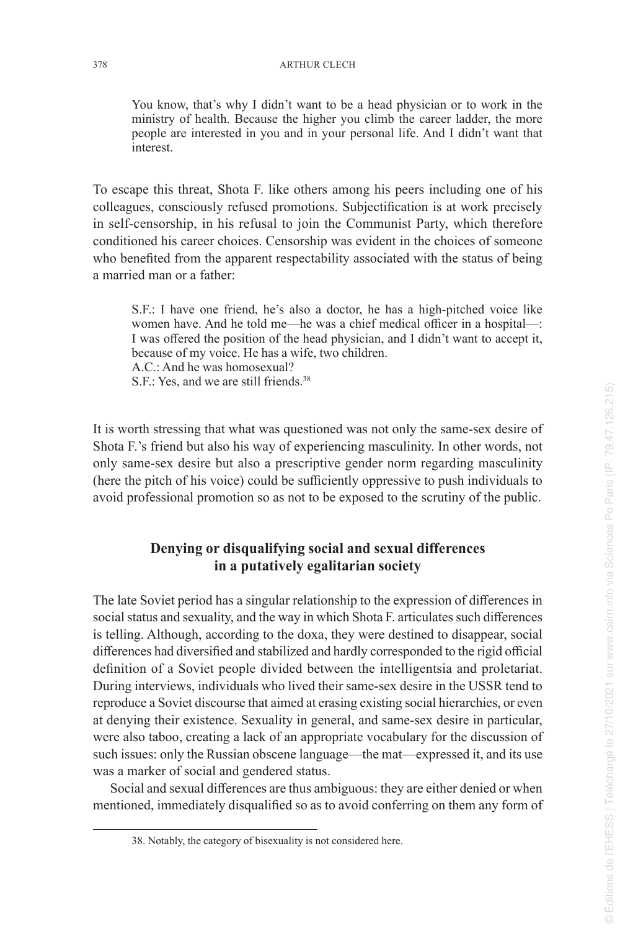You know, that's why I didn't want to be a head physician or to work in the ministry of health. Because the higher you climb the career ladder, the more people are interested in you and in your personal life. And I didn't want that interest.

To escape this threat, Shota F. like others among his peers including one of his colleagues, consciously refused promotions. Subjectification is at work precisely in self-censorship, in his refusal to join the Communist Party, which therefore conditioned his career choices. Censorship was evident in the choices of someone who benefited from the apparent respectability associated with the status of being a married man or a father:

S.F.: I have one friend, he's also a doctor, he has a high-pitched voice like women have. And he told me—he was a chief medical officer in a hospital—: I was offered the position of the head physician, and I didn't want to accept it, because of my voice. He has a wife, two children. A.C.: And he was homosexual? S.F.: Yes, and we are still friends.<sup>38</sup>

It is worth stressing that what was questioned was not only the same-sex desire of Shota F.'s friend but also his way of experiencing masculinity. In other words, not only same-sex desire but also a prescriptive gender norm regarding masculinity (here the pitch of his voice) could be sufficiently oppressive to push individuals to avoid professional promotion so as not to be exposed to the scrutiny of the public.

## **Denying or disqualifying social and sexual differences in a putatively egalitarian society**

The late Soviet period has a singular relationship to the expression of differences in social status and sexuality, and the way in which Shota F. articulates such differences is telling. Although, according to the doxa, they were destined to disappear, social differences had diversified and stabilized and hardly corresponded to the rigid official definition of a Soviet people divided between the intelligentsia and proletariat. During interviews, individuals who lived their same-sex desire in the USSR tend to reproduce a Soviet discourse that aimed at erasing existing social hierarchies, or even at denying their existence. Sexuality in general, and same-sex desire in particular, were also taboo, creating a lack of an appropriate vocabulary for the discussion of such issues: only the Russian obscene language—the mat—expressed it, and its use was a marker of social and gendered status.

Social and sexual differences are thus ambiguous: they are either denied or when mentioned, immediately disqualified so as to avoid conferring on them any form of

<sup>38.</sup> Notably, the category of bisexuality is not considered here.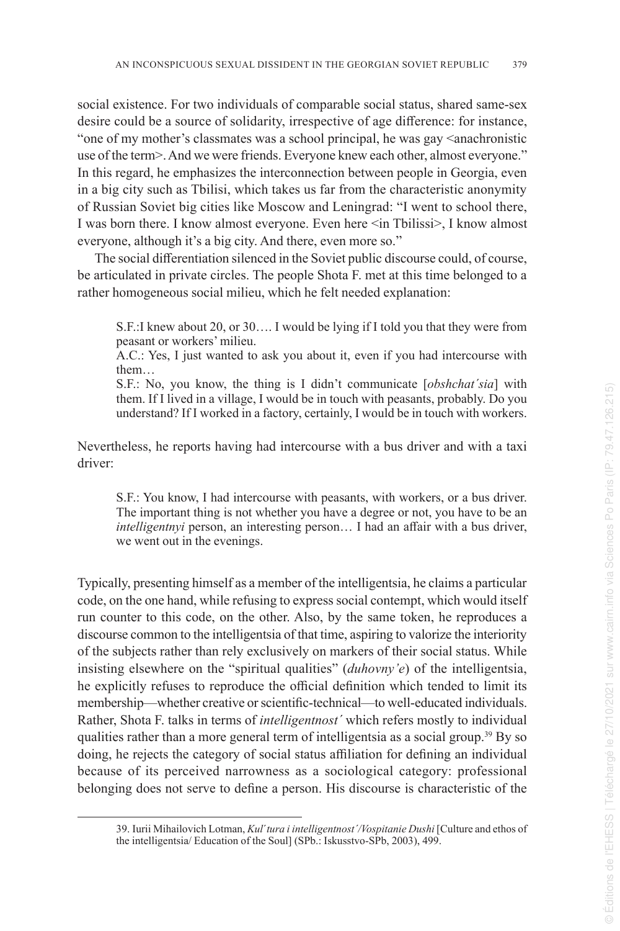social existence. For two individuals of comparable social status, shared same-sex desire could be a source of solidarity, irrespective of age difference: for instance, "one of my mother's classmates was a school principal, he was gay <anachronistic use of the term>. And we were friends. Everyone knew each other, almost everyone." In this regard, he emphasizes the interconnection between people in Georgia, even in a big city such as Tbilisi, which takes us far from the characteristic anonymity of Russian Soviet big cities like Moscow and Leningrad: "I went to school there, I was born there. I know almost everyone. Even here <in Tbilissi>, I know almost everyone, although it's a big city. And there, even more so."

The social differentiation silenced in the Soviet public discourse could, of course, be articulated in private circles. The people Shota F. met at this time belonged to a rather homogeneous social milieu, which he felt needed explanation:

S.F.:I knew about 20, or 30…. I would be lying if I told you that they were from peasant or workers' milieu.

A.C.: Yes, I just wanted to ask you about it, even if you had intercourse with them…

S.F.: No, you know, the thing is I didn't communicate [*obshchat´sia*] with them. If I lived in a village, I would be in touch with peasants, probably. Do you understand? If I worked in a factory, certainly, I would be in touch with workers.

Nevertheless, he reports having had intercourse with a bus driver and with a taxi driver:

S.F.: You know, I had intercourse with peasants, with workers, or a bus driver. The important thing is not whether you have a degree or not, you have to be an *intelligentnyi* person, an interesting person… I had an affair with a bus driver, we went out in the evenings.

Typically, presenting himself as a member of the intelligentsia, he claims a particular code, on the one hand, while refusing to express social contempt, which would itself run counter to this code, on the other. Also, by the same token, he reproduces a discourse common to the intelligentsia of that time, aspiring to valorize the interiority of the subjects rather than rely exclusively on markers of their social status. While insisting elsewhere on the "spiritual qualities" (*duhovny'e*) of the intelligentsia, he explicitly refuses to reproduce the official definition which tended to limit its membership—whether creative or scientific-technical—to well-educated individuals. Rather, Shota F. talks in terms of *intelligentnost´* which refers mostly to individual qualities rather than a more general term of intelligentsia as a social group.<sup>39</sup> By so doing, he rejects the category of social status affiliation for defining an individual because of its perceived narrowness as a sociological category: professional belonging does not serve to define a person. His discourse is characteristic of the

<sup>39.</sup> Iurii Mihailovich Lotman, *Kul* ´*tura i intelligentnost´/Vospitanie Dushi* [Culture and ethos of the intelligentsia/ Education of the Soul] (SPb.: Iskusstvo-SPb, 2003), 499.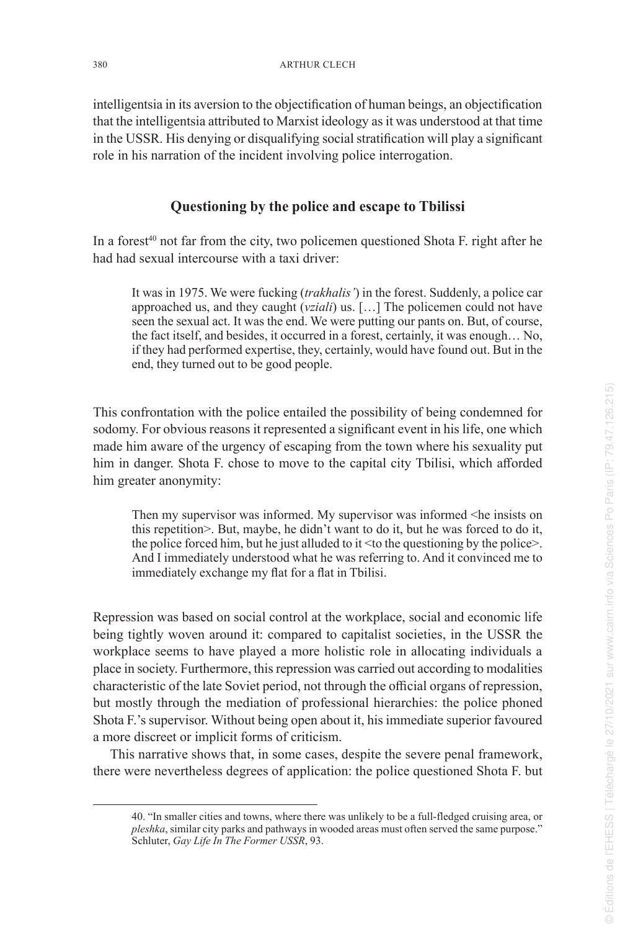intelligentsia in its aversion to the objectification of human beings, an objectification that the intelligentsia attributed to Marxist ideology as it was understood at that time in the USSR. His denying or disqualifying social stratification will play a significant role in his narration of the incident involving police interrogation.

## **Questioning by the police and escape to Tbilissi**

In a forest<sup>40</sup> not far from the city, two policemen questioned Shota F, right after he had had sexual intercourse with a taxi driver:

It was in 1975. We were fucking (*trakhalis'*) in the forest. Suddenly, a police car approached us, and they caught (*vziali*) us. […] The policemen could not have seen the sexual act. It was the end. We were putting our pants on. But, of course, the fact itself, and besides, it occurred in a forest, certainly, it was enough… No, if they had performed expertise, they, certainly, would have found out. But in the end, they turned out to be good people.

This confrontation with the police entailed the possibility of being condemned for sodomy. For obvious reasons it represented a significant event in his life, one which made him aware of the urgency of escaping from the town where his sexuality put him in danger. Shota F. chose to move to the capital city Tbilisi, which afforded him greater anonymity:

Then my supervisor was informed. My supervisor was informed <he insists on this repetition>. But, maybe, he didn't want to do it, but he was forced to do it, the police forced him, but he just alluded to it  $\leq$  to the questioning by the police $\geq$ . And I immediately understood what he was referring to. And it convinced me to immediately exchange my flat for a flat in Tbilisi.

Repression was based on social control at the workplace, social and economic life being tightly woven around it: compared to capitalist societies, in the USSR the workplace seems to have played a more holistic role in allocating individuals a place in society. Furthermore, this repression was carried out according to modalities characteristic of the late Soviet period, not through the official organs of repression, but mostly through the mediation of professional hierarchies: the police phoned Shota F.'s supervisor. Without being open about it, his immediate superior favoured a more discreet or implicit forms of criticism.

This narrative shows that, in some cases, despite the severe penal framework, there were nevertheless degrees of application: the police questioned Shota F. but

<sup>40. &</sup>quot;In smaller cities and towns, where there was unlikely to be a full-fledged cruising area, or *pleshka*, similar city parks and pathways in wooded areas must often served the same purpose." Schluter, *Gay Life In The Former USSR*, 93.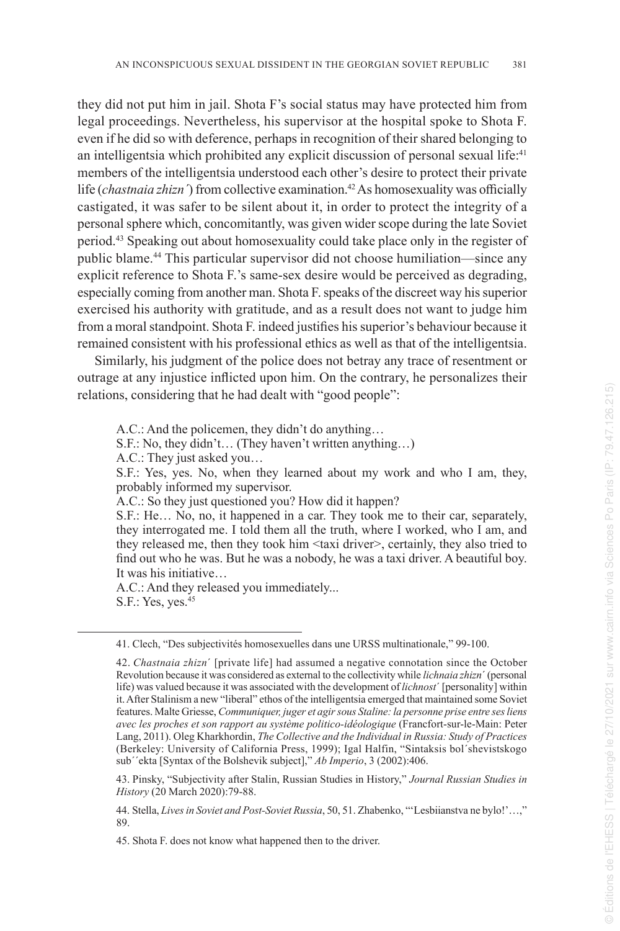they did not put him in jail. Shota F's social status may have protected him from legal proceedings. Nevertheless, his supervisor at the hospital spoke to Shota F. even if he did so with deference, perhaps in recognition of their shared belonging to an intelligentsia which prohibited any explicit discussion of personal sexual life:<sup>41</sup> members of the intelligentsia understood each other's desire to protect their private life (*chastnaia zhizn*) from collective examination.<sup>42</sup> As homosexuality was officially castigated, it was safer to be silent about it, in order to protect the integrity of a personal sphere which, concomitantly, was given wider scope during the late Soviet period.<sup>43</sup> Speaking out about homosexuality could take place only in the register of public blame.<sup>44</sup> This particular supervisor did not choose humiliation—since any explicit reference to Shota F.'s same-sex desire would be perceived as degrading, especially coming from another man. Shota F. speaks of the discreet way his superior exercised his authority with gratitude, and as a result does not want to judge him from a moral standpoint. Shota F. indeed justifies his superior's behaviour because it remained consistent with his professional ethics as well as that of the intelligentsia.

Similarly, his judgment of the police does not betray any trace of resentment or outrage at any injustice inflicted upon him. On the contrary, he personalizes their relations, considering that he had dealt with "good people":

A.C.: And the policemen, they didn't do anything…

S.F.: No, they didn't… (They haven't written anything…)

A.C.: They just asked you…

S.F.: Yes, yes. No, when they learned about my work and who I am, they, probably informed my supervisor.

A.C.: So they just questioned you? How did it happen?

S.F.: He… No, no, it happened in a car. They took me to their car, separately, they interrogated me. I told them all the truth, where I worked, who I am, and they released me, then they took him <taxi driver>, certainly, they also tried to find out who he was. But he was a nobody, he was a taxi driver. A beautiful boy. It was his initiative…

A.C.: And they released you immediately... S.F.: Yes, yes.<sup>45</sup>

<sup>41.</sup> Clech, "Des subjectivités homosexuelles dans une URSS multinationale," 99-100.

<sup>42.</sup> *Chastnaia zhizn*´ [private life] had assumed a negative connotation since the October Revolution because it was considered as external to the collectivity while *lichnaia zhizn*´ (personal life) was valued because it was associated with the development of *lichnost*´ [personality] within it. After Stalinism a new "liberal" ethos of the intelligentsia emerged that maintained some Soviet features. Malte Griesse, *Communiquer, juger et agir sous Staline: la personne prise entre ses liens avec les proches et son rapport au système politico-idéologique* (Francfort-sur-le-Main: Peter Lang, 2011). Oleg Kharkhordin, *The Collective and the Individual in Russia: Study of Practices*  (Berkeley: University of California Press, 1999); Igal Halfin, "Sintaksis bol´shevistskogo sub´´ekta [Syntax of the Bolshevik subject]," *Ab Imperio*, 3 (2002):406.

<sup>43.</sup> Pinsky, "Subjectivity after Stalin, Russian Studies in History," *Journal Russian Studies in History* (20 March 2020):79-88.

<sup>44.</sup> Stella, *Lives in Soviet and Post-Soviet Russia* , 50, 51. Zhabenko, "'Lesbiianstva ne bylo!'…," 89.

<sup>45.</sup> Shota F. does not know what happened then to the driver.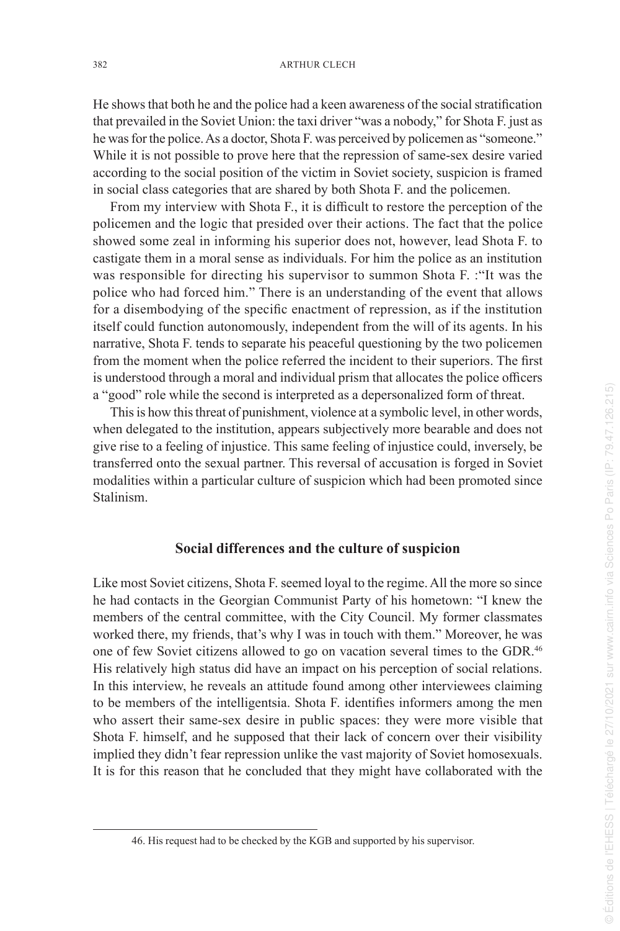He shows that both he and the police had a keen awareness of the social stratification that prevailed in the Soviet Union: the taxi driver "was a nobody," for Shota F. just as he was for the police. As a doctor, Shota F. was perceived by policemen as "someone." While it is not possible to prove here that the repression of same-sex desire varied according to the social position of the victim in Soviet society, suspicion is framed in social class categories that are shared by both Shota F. and the policemen.

From my interview with Shota F., it is difficult to restore the perception of the policemen and the logic that presided over their actions. The fact that the police showed some zeal in informing his superior does not, however, lead Shota F. to castigate them in a moral sense as individuals. For him the police as an institution was responsible for directing his supervisor to summon Shota F. :"It was the police who had forced him." There is an understanding of the event that allows for a disembodying of the specific enactment of repression, as if the institution itself could function autonomously, independent from the will of its agents. In his narrative, Shota F. tends to separate his peaceful questioning by the two policemen from the moment when the police referred the incident to their superiors. The first is understood through a moral and individual prism that allocates the police officers a "good" role while the second is interpreted as a depersonalized form of threat.

This is how this threat of punishment, violence at a symbolic level, in other words, when delegated to the institution, appears subjectively more bearable and does not give rise to a feeling of injustice. This same feeling of injustice could, inversely, be transferred onto the sexual partner. This reversal of accusation is forged in Soviet modalities within a particular culture of suspicion which had been promoted since Stalinism.

#### **Social differences and the culture of suspicion**

Like most Soviet citizens, Shota F. seemed loyal to the regime. All the more so since he had contacts in the Georgian Communist Party of his hometown: "I knew the members of the central committee, with the City Council. My former classmates worked there, my friends, that's why I was in touch with them." Moreover, he was one of few Soviet citizens allowed to go on vacation several times to the GDR.<sup>46</sup> His relatively high status did have an impact on his perception of social relations. In this interview, he reveals an attitude found among other interviewees claiming to be members of the intelligentsia. Shota F. identifies informers among the men who assert their same-sex desire in public spaces: they were more visible that Shota F. himself, and he supposed that their lack of concern over their visibility implied they didn't fear repression unlike the vast majority of Soviet homosexuals. It is for this reason that he concluded that they might have collaborated with the

<sup>46.</sup> His request had to be checked by the KGB and supported by his supervisor.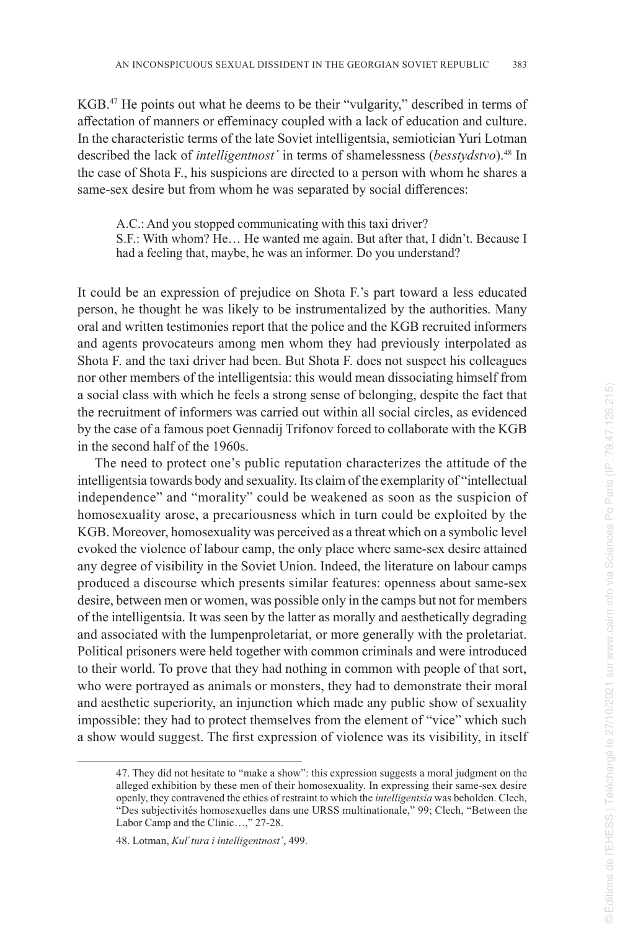KGB.<sup>47</sup> He points out what he deems to be their "vulgarity," described in terms of affectation of manners or effeminacy coupled with a lack of education and culture. In the characteristic terms of the late Soviet intelligentsia, semiotician Yuri Lotman described the lack of *intelligentnost´* in terms of shamelessness (*besstydstvo*).<sup>48</sup> In the case of Shota F., his suspicions are directed to a person with whom he shares a same-sex desire but from whom he was separated by social differences:

A.C.: And you stopped communicating with this taxi driver? S.F.: With whom? He… He wanted me again. But after that, I didn't. Because I had a feeling that, maybe, he was an informer. Do you understand?

It could be an expression of prejudice on Shota F.'s part toward a less educated person, he thought he was likely to be instrumentalized by the authorities. Many oral and written testimonies report that the police and the KGB recruited informers and agents provocateurs among men whom they had previously interpolated as Shota F. and the taxi driver had been. But Shota F. does not suspect his colleagues nor other members of the intelligentsia: this would mean dissociating himself from a social class with which he feels a strong sense of belonging, despite the fact that the recruitment of informers was carried out within all social circles, as evidenced by the case of a famous poet Gennadij Trifonov forced to collaborate with the KGB in the second half of the 1960s.

The need to protect one's public reputation characterizes the attitude of the intelligentsia towards body and sexuality. Its claim of the exemplarity of "intellectual independence" and "morality" could be weakened as soon as the suspicion of homosexuality arose, a precariousness which in turn could be exploited by the KGB. Moreover, homosexuality was perceived as a threat which on a symbolic level evoked the violence of labour camp, the only place where same-sex desire attained any degree of visibility in the Soviet Union. Indeed, the literature on labour camps produced a discourse which presents similar features: openness about same-sex desire, between men or women, was possible only in the camps but not for members of the intelligentsia. It was seen by the latter as morally and aesthetically degrading and associated with the lumpenproletariat, or more generally with the proletariat. Political prisoners were held together with common criminals and were introduced to their world. To prove that they had nothing in common with people of that sort, who were portrayed as animals or monsters, they had to demonstrate their moral and aesthetic superiority, an injunction which made any public show of sexuality impossible: they had to protect themselves from the element of "vice" which such a show would suggest. The first expression of violence was its visibility, in itself

<sup>47.</sup> They did not hesitate to "make a show": this expression suggests a moral judgment on the alleged exhibition by these men of their homosexuality. In expressing their same-sex desire openly, they contravened the ethics of restraint to which the *intelligentsia* was beholden. Clech, "Des subjectivités homosexuelles dans une URSS multinationale," 99; Clech, "Between the Labor Camp and the Clinic…," 27-28.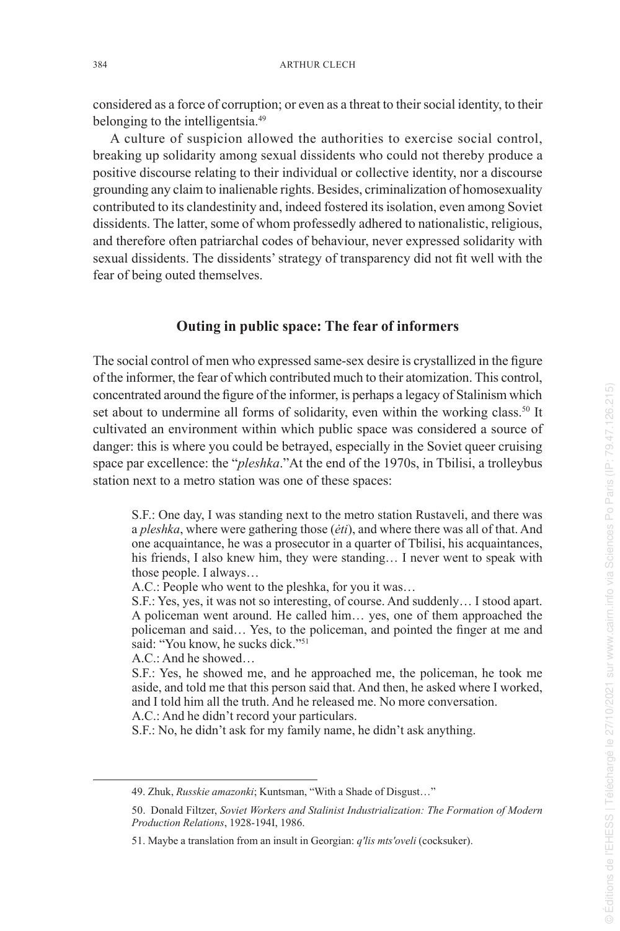considered as a force of corruption; or even as a threat to their social identity, to their belonging to the intelligentsia.<sup>49</sup>

A culture of suspicion allowed the authorities to exercise social control, breaking up solidarity among sexual dissidents who could not thereby produce a positive discourse relating to their individual or collective identity, nor a discourse grounding any claim to inalienable rights. Besides, criminalization of homosexuality contributed to its clandestinity and, indeed fostered its isolation, even among Soviet dissidents. The latter, some of whom professedly adhered to nationalistic, religious, and therefore often patriarchal codes of behaviour, never expressed solidarity with sexual dissidents. The dissidents' strategy of transparency did not fit well with the fear of being outed themselves.

#### **Outing in public space: The fear of informers**

The social control of men who expressed same-sex desire is crystallized in the figure of the informer, the fear of which contributed much to their atomization. This control, concentrated around the figure of the informer, is perhaps a legacy of Stalinism which set about to undermine all forms of solidarity, even within the working class.<sup>50</sup> It cultivated an environment within which public space was considered a source of danger: this is where you could be betrayed, especially in the Soviet queer cruising space par excellence: the "*pleshka*."At the end of the 1970s, in Tbilisi, a trolleybus station next to a metro station was one of these spaces:

S.F.: One day, I was standing next to the metro station Rustaveli, and there was a *pleshka*, where were gathering those (*ėti*), and where there was all of that. And one acquaintance, he was a prosecutor in a quarter of Tbilisi, his acquaintances, his friends, I also knew him, they were standing… I never went to speak with those people. I always…

A.C.: People who went to the pleshka, for you it was…

S.F.: Yes, yes, it was not so interesting, of course. And suddenly… I stood apart. A policeman went around. He called him… yes, one of them approached the policeman and said… Yes, to the policeman, and pointed the finger at me and said: "You know, he sucks dick."<sup>51</sup>

A.C.: And he showed…

S.F.: Yes, he showed me, and he approached me, the policeman, he took me aside, and told me that this person said that. And then, he asked where I worked, and I told him all the truth. And he released me. No more conversation.

A.C.: And he didn't record your particulars.

S.F.: No, he didn't ask for my family name, he didn't ask anything.

<sup>49.</sup> Zhuk, *Russkie amazonki*; Kuntsman, "With a Shade of Disgust…"

<sup>50.</sup> Donald Filtzer, *Soviet Workers and Stalinist Industrialization: The Formation of Modern Production Relations*, 1928-194I, 1986.

<sup>51.</sup> Maybe a translation from an insult in Georgian: *q'lis mts'oveli* (cocksuker).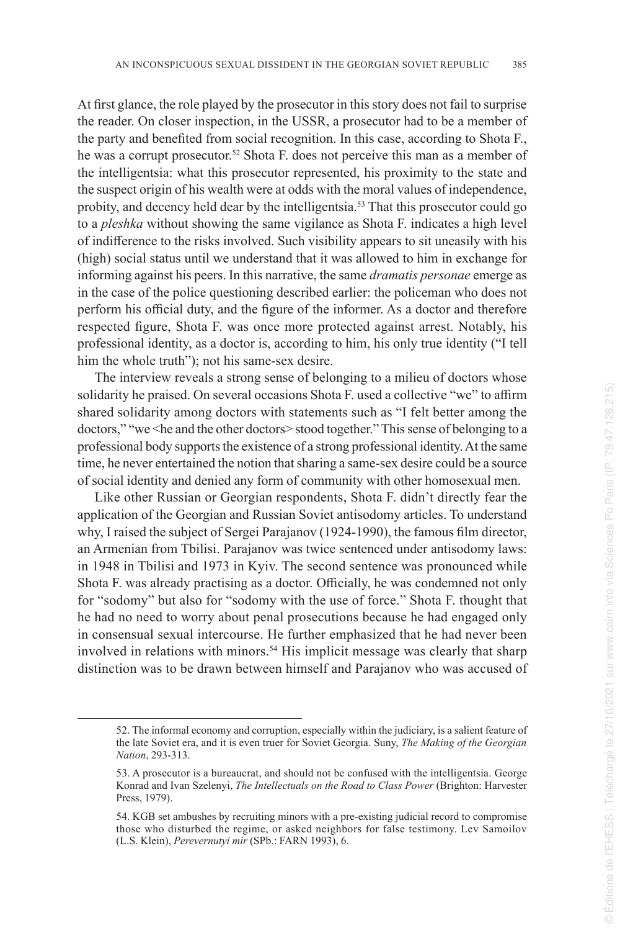At first glance, the role played by the prosecutor in this story does not fail to surprise the reader. On closer inspection, in the USSR, a prosecutor had to be a member of the party and benefited from social recognition. In this case, according to Shota F., he was a corrupt prosecutor.<sup>52</sup> Shota F. does not perceive this man as a member of the intelligentsia: what this prosecutor represented, his proximity to the state and the suspect origin of his wealth were at odds with the moral values of independence, probity, and decency held dear by the intelligentsia.<sup>53</sup> That this prosecutor could go to a *pleshka* without showing the same vigilance as Shota F. indicates a high level of indifference to the risks involved. Such visibility appears to sit uneasily with his (high) social status until we understand that it was allowed to him in exchange for informing against his peers. In this narrative, the same *dramatis personae* emerge as in the case of the police questioning described earlier: the policeman who does not perform his official duty, and the figure of the informer. As a doctor and therefore respected figure, Shota F. was once more protected against arrest. Notably, his professional identity, as a doctor is, according to him, his only true identity ("I tell him the whole truth"); not his same-sex desire.

The interview reveals a strong sense of belonging to a milieu of doctors whose solidarity he praised. On several occasions Shota F. used a collective "we" to affirm shared solidarity among doctors with statements such as "I felt better among the doctors," "we <he and the other doctors> stood together." This sense of belonging to a professional body supports the existence of a strong professional identity. At the same time, he never entertained the notion that sharing a same-sex desire could be a source of social identity and denied any form of community with other homosexual men.

Like other Russian or Georgian respondents, Shota F. didn't directly fear the application of the Georgian and Russian Soviet antisodomy articles. To understand why, I raised the subject of Sergei Parajanov (1924-1990), the famous film director, an Armenian from Tbilisi. Parajanov was twice sentenced under antisodomy laws: in 1948 in Tbilisi and 1973 in Kyiv. The second sentence was pronounced while Shota F. was already practising as a doctor. Officially, he was condemned not only for "sodomy" but also for "sodomy with the use of force." Shota F. thought that he had no need to worry about penal prosecutions because he had engaged only in consensual sexual intercourse. He further emphasized that he had never been involved in relations with minors.<sup>54</sup> His implicit message was clearly that sharp distinction was to be drawn between himself and Parajanov who was accused of

<sup>52.</sup> The informal economy and corruption, especially within the judiciary, is a salient feature of the late Soviet era, and it is even truer for Soviet Georgia. Suny, *The Making of the Georgian Nation*, 293-313.

<sup>53.</sup> A prosecutor is a bureaucrat, and should not be confused with the intelligentsia. George Konrad and Ivan Szelenyi, *The Intellectuals on the Road to Class Power* (Brighton: Harvester Press, 1979).

<sup>54.</sup> KGB set ambushes by recruiting minors with a pre-existing judicial record to compromise those who disturbed the regime, or asked neighbors for false testimony. Lev Samoilov (L.S. Klein), *Perevernutyi mir* (SPb.: FARN 1993), 6.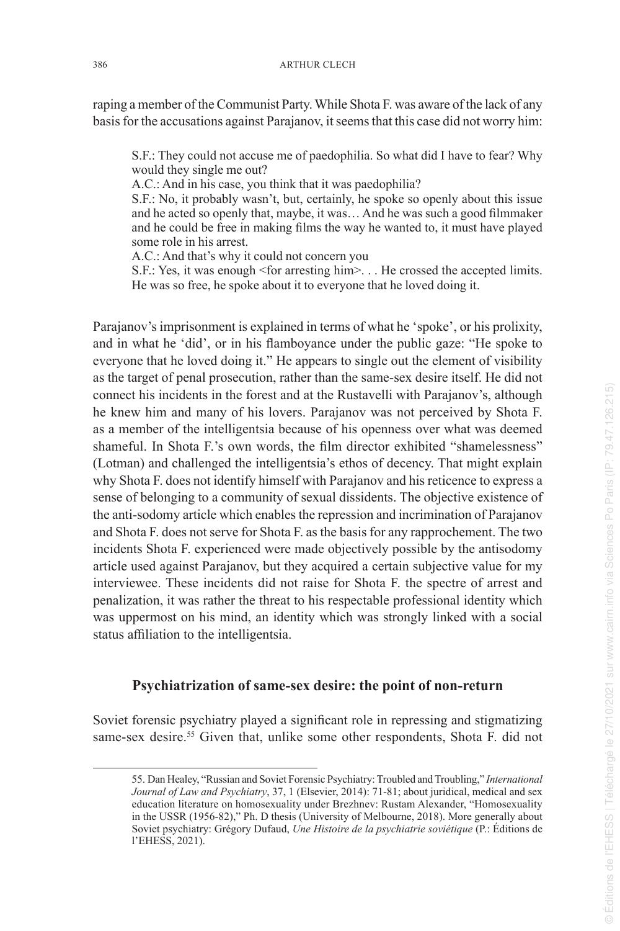raping a member of the Communist Party. While Shota F. was aware of the lack of any basis for the accusations against Parajanov, it seems that this case did not worry him:

S.F.: They could not accuse me of paedophilia. So what did I have to fear? Why would they single me out?

A.C.: And in his case, you think that it was paedophilia?

S.F.: No, it probably wasn't, but, certainly, he spoke so openly about this issue and he acted so openly that, maybe, it was… And he was such a good filmmaker and he could be free in making films the way he wanted to, it must have played some role in his arrest.

A.C.: And that's why it could not concern you

S.F.: Yes, it was enough <for arresting him>. . . He crossed the accepted limits. He was so free, he spoke about it to everyone that he loved doing it.

Parajanov's imprisonment is explained in terms of what he 'spoke', or his prolixity, and in what he 'did', or in his flamboyance under the public gaze: "He spoke to everyone that he loved doing it." He appears to single out the element of visibility as the target of penal prosecution, rather than the same-sex desire itself. He did not connect his incidents in the forest and at the Rustavelli with Parajanov's, although he knew him and many of his lovers. Parajanov was not perceived by Shota F. as a member of the intelligentsia because of his openness over what was deemed shameful. In Shota F.'s own words, the film director exhibited "shamelessness" (Lotman) and challenged the intelligentsia's ethos of decency. That might explain why Shota F. does not identify himself with Parajanov and his reticence to express a sense of belonging to a community of sexual dissidents. The objective existence of the anti-sodomy article which enables the repression and incrimination of Parajanov and Shota F. does not serve for Shota F. as the basis for any rapprochement. The two incidents Shota F. experienced were made objectively possible by the antisodomy article used against Parajanov, but they acquired a certain subjective value for my interviewee. These incidents did not raise for Shota F. the spectre of arrest and penalization, it was rather the threat to his respectable professional identity which was uppermost on his mind, an identity which was strongly linked with a social status affiliation to the intelligentsia.

#### **Psychiatrization of same-sex desire: the point of non-return**

Soviet forensic psychiatry played a significant role in repressing and stigmatizing same-sex desire.<sup>55</sup> Given that, unlike some other respondents, Shota F. did not

<sup>55.</sup> Dan Healey, "Russian and Soviet Forensic Psychiatry: Troubled and Troubling," *International Journal of Law and Psychiatry*, 37, 1 (Elsevier, 2014): 71-81; about juridical, medical and sex education literature on homosexuality under Brezhnev: Rustam Alexander, "Homosexuality in the USSR (1956-82)," Ph. D thesis (University of Melbourne, 2018). More generally about Soviet psychiatry: Grégory Dufaud, *Une Histoire de la psychiatrie soviétique* (P.: Éditions de l'EHESS, 2021).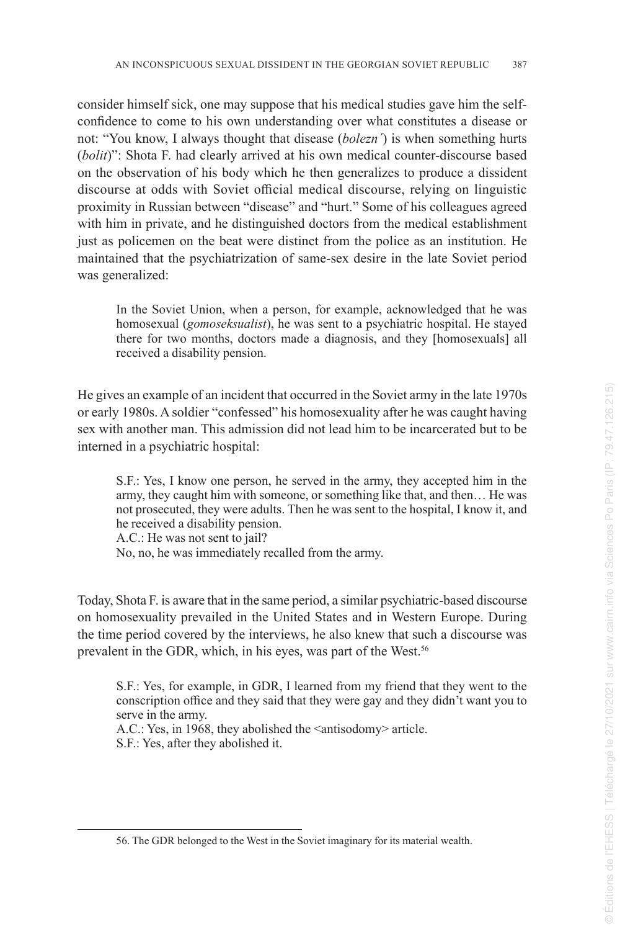consider himself sick, one may suppose that his medical studies gave him the selfconfidence to come to his own understanding over what constitutes a disease or not: "You know, I always thought that disease (*bolezn´*) is when something hurts (*bolit*)": Shota F. had clearly arrived at his own medical counter-discourse based on the observation of his body which he then generalizes to produce a dissident discourse at odds with Soviet official medical discourse, relying on linguistic proximity in Russian between "disease" and "hurt." Some of his colleagues agreed with him in private, and he distinguished doctors from the medical establishment just as policemen on the beat were distinct from the police as an institution. He maintained that the psychiatrization of same-sex desire in the late Soviet period was generalized:

In the Soviet Union, when a person, for example, acknowledged that he was homosexual (*gomoseksualist*), he was sent to a psychiatric hospital. He stayed there for two months, doctors made a diagnosis, and they [homosexuals] all received a disability pension.

He gives an example of an incident that occurred in the Soviet army in the late 1970s or early 1980s. A soldier "confessed" his homosexuality after he was caught having sex with another man. This admission did not lead him to be incarcerated but to be interned in a psychiatric hospital:

S.F.: Yes, I know one person, he served in the army, they accepted him in the army, they caught him with someone, or something like that, and then… He was not prosecuted, they were adults. Then he was sent to the hospital, I know it, and he received a disability pension.

A.C.: He was not sent to jail? No, no, he was immediately recalled from the army.

Today, Shota F. is aware that in the same period, a similar psychiatric-based discourse on homosexuality prevailed in the United States and in Western Europe. During the time period covered by the interviews, he also knew that such a discourse was prevalent in the GDR, which, in his eyes, was part of the West.<sup>56</sup>

S.F.: Yes, for example, in GDR, I learned from my friend that they went to the conscription office and they said that they were gay and they didn't want you to serve in the army.

A.C.: Yes, in 1968, they abolished the <antisodomy> article. S.F.: Yes, after they abolished it.

<sup>56.</sup> The GDR belonged to the West in the Soviet imaginary for its material wealth.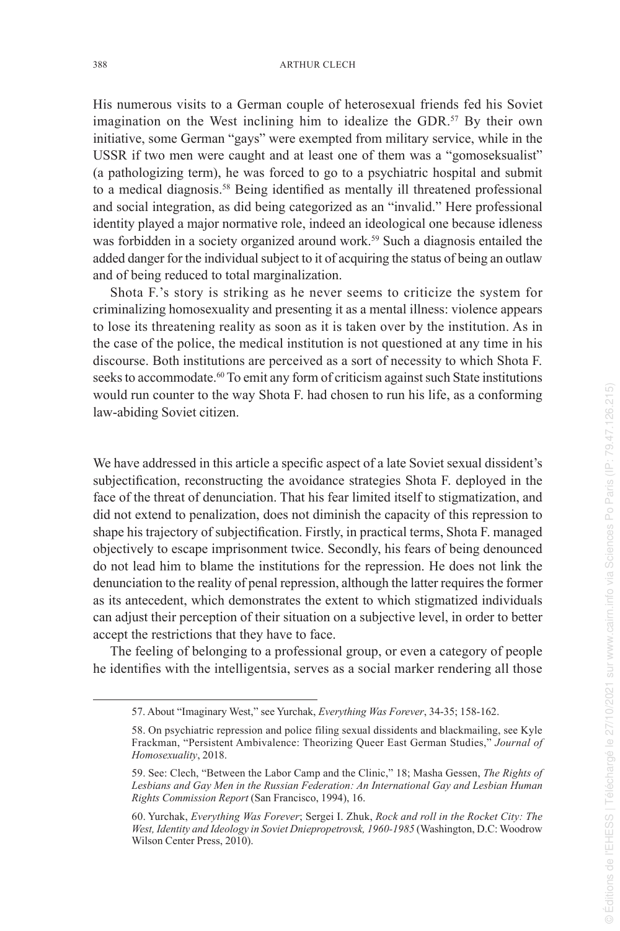His numerous visits to a German couple of heterosexual friends fed his Soviet imagination on the West inclining him to idealize the GDR.<sup>57</sup> By their own initiative, some German "gays" were exempted from military service, while in the USSR if two men were caught and at least one of them was a "gomoseksualist" (a pathologizing term), he was forced to go to a psychiatric hospital and submit to a medical diagnosis.<sup>58</sup> Being identified as mentally ill threatened professional and social integration, as did being categorized as an "invalid." Here professional identity played a major normative role, indeed an ideological one because idleness was forbidden in a society organized around work.<sup>59</sup> Such a diagnosis entailed the added danger for the individual subject to it of acquiring the status of being an outlaw and of being reduced to total marginalization.

Shota F.'s story is striking as he never seems to criticize the system for criminalizing homosexuality and presenting it as a mental illness: violence appears to lose its threatening reality as soon as it is taken over by the institution. As in the case of the police, the medical institution is not questioned at any time in his discourse. Both institutions are perceived as a sort of necessity to which Shota F. seeks to accommodate.<sup>60</sup> To emit any form of criticism against such State institutions would run counter to the way Shota F. had chosen to run his life, as a conforming law-abiding Soviet citizen.

We have addressed in this article a specific aspect of a late Soviet sexual dissident's subjectification, reconstructing the avoidance strategies Shota F. deployed in the face of the threat of denunciation. That his fear limited itself to stigmatization, and did not extend to penalization, does not diminish the capacity of this repression to shape his trajectory of subjectification. Firstly, in practical terms, Shota F. managed objectively to escape imprisonment twice. Secondly, his fears of being denounced do not lead him to blame the institutions for the repression. He does not link the denunciation to the reality of penal repression, although the latter requires the former as its antecedent, which demonstrates the extent to which stigmatized individuals can adjust their perception of their situation on a subjective level, in order to better accept the restrictions that they have to face.

The feeling of belonging to a professional group, or even a category of people he identifies with the intelligentsia, serves as a social marker rendering all those

<sup>57.</sup> About "Imaginary West," see Yurchak, *Everything Was Forever*, 34-35; 158-162.

<sup>58.</sup> On psychiatric repression and police filing sexual dissidents and blackmailing, see Kyle Frackman, "Persistent Ambivalence: Theorizing Queer East German Studies," *Journal of Homosexuality*, 2018.

<sup>59.</sup> See: Clech, "Between the Labor Camp and the Clinic," 18; Masha Gessen, *The Rights of Lesbians and Gay Men in the Russian Federation: An International Gay and Lesbian Human Rights Commission Report* (San Francisco, 1994), 16.

<sup>60.</sup> Yurchak, *Everything Was Forever*; Sergei I. Zhuk, *Rock and roll in the Rocket City: The West, Identity and Ideology in Soviet Dniepropetrovsk, 1960-1985* (Washington, D.C: Woodrow Wilson Center Press, 2010).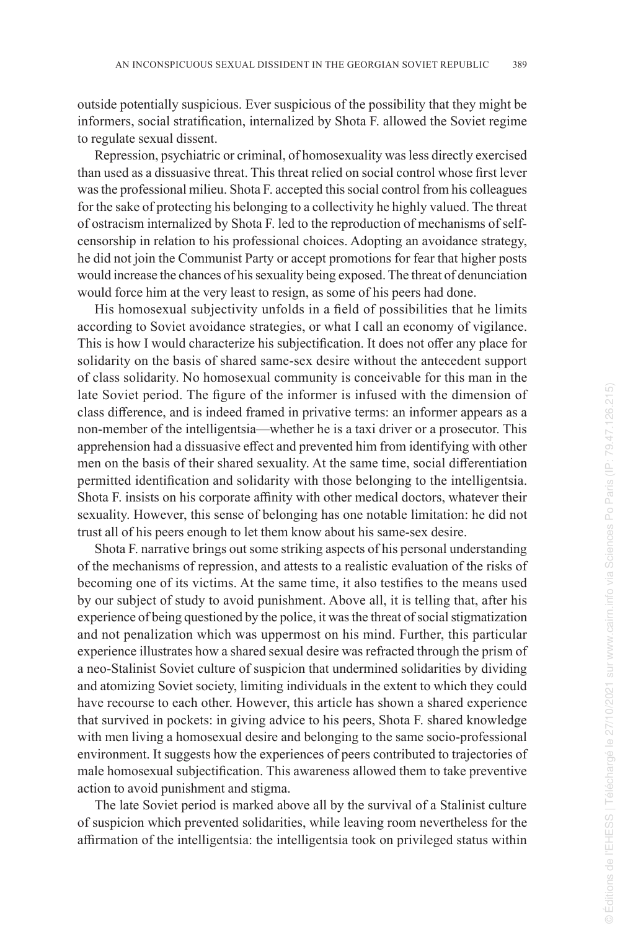outside potentially suspicious. Ever suspicious of the possibility that they might be informers, social stratification, internalized by Shota F. allowed the Soviet regime to regulate sexual dissent.

Repression, psychiatric or criminal, of homosexuality was less directly exercised than used as a dissuasive threat. This threat relied on social control whose first lever was the professional milieu. Shota F. accepted this social control from his colleagues for the sake of protecting his belonging to a collectivity he highly valued. The threat of ostracism internalized by Shota F. led to the reproduction of mechanisms of selfcensorship in relation to his professional choices. Adopting an avoidance strategy, he did not join the Communist Party or accept promotions for fear that higher posts would increase the chances of his sexuality being exposed. The threat of denunciation would force him at the very least to resign, as some of his peers had done.

His homosexual subjectivity unfolds in a field of possibilities that he limits according to Soviet avoidance strategies, or what I call an economy of vigilance. This is how I would characterize his subjectification. It does not offer any place for solidarity on the basis of shared same-sex desire without the antecedent support of class solidarity. No homosexual community is conceivable for this man in the late Soviet period. The figure of the informer is infused with the dimension of class difference, and is indeed framed in privative terms: an informer appears as a non-member of the intelligentsia—whether he is a taxi driver or a prosecutor. This apprehension had a dissuasive effect and prevented him from identifying with other men on the basis of their shared sexuality. At the same time, social differentiation permitted identification and solidarity with those belonging to the intelligentsia. Shota F. insists on his corporate affinity with other medical doctors, whatever their sexuality. However, this sense of belonging has one notable limitation: he did not trust all of his peers enough to let them know about his same-sex desire.

Shota F. narrative brings out some striking aspects of his personal understanding of the mechanisms of repression, and attests to a realistic evaluation of the risks of becoming one of its victims. At the same time, it also testifies to the means used by our subject of study to avoid punishment. Above all, it is telling that, after his experience of being questioned by the police, it was the threat of social stigmatization and not penalization which was uppermost on his mind. Further, this particular experience illustrates how a shared sexual desire was refracted through the prism of a neo-Stalinist Soviet culture of suspicion that undermined solidarities by dividing and atomizing Soviet society, limiting individuals in the extent to which they could have recourse to each other. However, this article has shown a shared experience that survived in pockets: in giving advice to his peers, Shota F. shared knowledge with men living a homosexual desire and belonging to the same socio-professional environment. It suggests how the experiences of peers contributed to trajectories of male homosexual subjectification. This awareness allowed them to take preventive action to avoid punishment and stigma.

The late Soviet period is marked above all by the survival of a Stalinist culture of suspicion which prevented solidarities, while leaving room nevertheless for the affirmation of the intelligentsia: the intelligentsia took on privileged status within